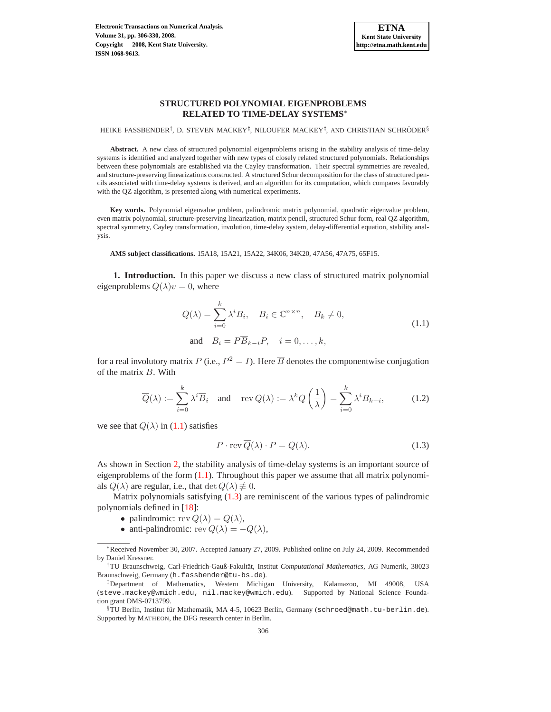

HEIKE FASSBENDER<sup>†</sup>, D. STEVEN MACKEY<sup>‡</sup>, NILOUFER MACKEY<sup>‡</sup>, AND CHRISTIAN SCHRÖDER<sup>§</sup>

**Abstract.** A new class of structured polynomial eigenproblems arising in the stability analysis of time-delay systems is identified and analyzed together with new types of closely related structured polynomials. Relationships between these polynomials are established via the Cayley transformation. Their spectral symmetries are revealed, and structure-preserving linearizations constructed. A structured Schur decomposition for the class of structured pencils associated with time-delay systems is derived, and an algorithm for its computation, which compares favorably with the QZ algorithm, is presented along with numerical experiments.

**Key words.** Polynomial eigenvalue problem, palindromic matrix polynomial, quadratic eigenvalue problem, even matrix polynomial, structure-preserving linearization, matrix pencil, structured Schur form, real QZ algorithm, spectral symmetry, Cayley transformation, involution, time-delay system, delay-differential equation, stability analysis.

**AMS subject classifications.** 15A18, 15A21, 15A22, 34K06, 34K20, 47A56, 47A75, 65F15.

**1. Introduction.** In this paper we discuss a new class of structured matrix polynomial eigenproblems  $Q(\lambda)v = 0$ , where

$$
Q(\lambda) = \sum_{i=0}^{k} \lambda^{i} B_{i}, \quad B_{i} \in \mathbb{C}^{n \times n}, \quad B_{k} \neq 0,
$$
  
and 
$$
B_{i} = P\overline{B}_{k-i}P, \quad i = 0, \dots, k,
$$
 (1.1)

<span id="page-0-0"></span>for a real involutory matrix  $P$  (i.e.,  $P^2 = I$ ). Here  $\overline{B}$  denotes the componentwise conjugation of the matrix B. With

<span id="page-0-1"></span>
$$
\overline{Q}(\lambda) := \sum_{i=0}^{k} \lambda^{i} \overline{B}_{i} \quad \text{and} \quad \text{rev } Q(\lambda) := \lambda^{k} Q\left(\frac{1}{\lambda}\right) = \sum_{i=0}^{k} \lambda^{i} B_{k-i}, \quad (1.2)
$$

<span id="page-0-2"></span>we see that  $Q(\lambda)$  in [\(1.1\)](#page-0-0) satisfies

$$
P \cdot \text{rev } \overline{Q}(\lambda) \cdot P = Q(\lambda). \tag{1.3}
$$

As shown in Section [2,](#page-2-0) the stability analysis of time-delay systems is an important source of eigenproblems of the form  $(1.1)$ . Throughout this paper we assume that all matrix polynomials  $Q(\lambda)$  are regular, i.e., that  $\det Q(\lambda) \neq 0$ .

Matrix polynomials satisfying [\(1.3\)](#page-0-1) are reminiscent of the various types of palindromic polynomials defined in [\[18\]](#page-24-0):

- palindromic:  $rev Q(\lambda) = Q(\lambda)$ ,
- anti-palindromic: rev  $Q(\lambda) = -Q(\lambda)$ ,

<sup>∗</sup>Received November 30, 2007. Accepted January 27, 2009. Published online on July 24, 2009. Recommended by Daniel Kressner.

<sup>&</sup>lt;sup>†</sup>TU Braunschweig, Carl-Friedrich-Gauß-Fakultät, Institut Computational Mathematics, AG Numerik, 38023 Braunschweig, Germany (h.fassbender@tu-bs.de).

<sup>‡</sup>Department of Mathematics, Western Michigan University, Kalamazoo, MI 49008, USA (steve.mackey@wmich.edu, nil.mackey@wmich.edu). Supported by National Science Foundation grant DMS-0713799.

 $\S$ TU Berlin, Institut für Mathematik, MA 4-5, 10623 Berlin, Germany (schroed@math.tu-berlin.de). Supported by MATHEON, the DFG research center in Berlin.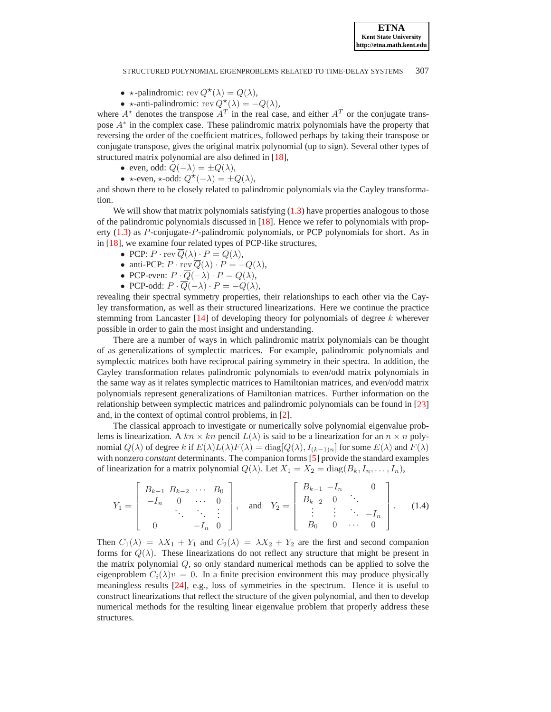- $\star$ -palindromic: rev  $Q^{\star}(\lambda) = Q(\lambda)$ ,
- $\star$ -anti-palindromic: rev  $Q^{\star}(\lambda) = -Q(\lambda)$ ,

where  $A^*$  denotes the transpose  $A^T$  in the real case, and either  $A^T$  or the conjugate transpose A<sup>∗</sup> in the complex case. These palindromic matrix polynomials have the property that reversing the order of the coefficient matrices, followed perhaps by taking their transpose or conjugate transpose, gives the original matrix polynomial (up to sign). Several other types of structured matrix polynomial are also defined in [\[18\]](#page-24-0),

- even, odd:  $Q(-\lambda) = \pm Q(\lambda)$ ,
- $\star$ -even,  $\star$ -odd:  $Q^{\star}(-\lambda) = \pm Q(\lambda)$ ,

and shown there to be closely related to palindromic polynomials via the Cayley transformation.

We will show that matrix polynomials satisfying  $(1.3)$  have properties analogous to those of the palindromic polynomials discussed in [\[18\]](#page-24-0). Hence we refer to polynomials with property [\(1.3\)](#page-0-1) as P-conjugate-P-palindromic polynomials, or PCP polynomials for short. As in in [\[18\]](#page-24-0), we examine four related types of PCP-like structures,

- PCP:  $P \cdot \text{rev } \overline{Q}(\lambda) \cdot P = Q(\lambda),$
- anti-PCP:  $P \cdot \text{rev } \overline{Q}(\lambda) \cdot P = -Q(\lambda),$
- PCP-even:  $P \cdot \overline{Q}(-\lambda) \cdot P = Q(\lambda),$
- PCP-odd:  $P \cdot \overline{Q}(-\lambda) \cdot P = -Q(\lambda),$

revealing their spectral symmetry properties, their relationships to each other via the Cayley transformation, as well as their structured linearizations. Here we continue the practice stemming from Lancaster  $[14]$  of developing theory for polynomials of degree k wherever possible in order to gain the most insight and understanding.

There are a number of ways in which palindromic matrix polynomials can be thought of as generalizations of symplectic matrices. For example, palindromic polynomials and symplectic matrices both have reciprocal pairing symmetry in their spectra. In addition, the Cayley transformation relates palindromic polynomials to even/odd matrix polynomials in the same way as it relates symplectic matrices to Hamiltonian matrices, and even/odd matrix polynomials represent generalizations of Hamiltonian matrices. Further information on the relationship between symplectic matrices and palindromic polynomials can be found in [\[23\]](#page-24-2) and, in the context of optimal control problems, in [\[2\]](#page-23-0).

The classical approach to investigate or numerically solve polynomial eigenvalue problems is linearization. A  $kn \times kn$  pencil  $L(\lambda)$  is said to be a linearization for an  $n \times n$  polynomial  $Q(\lambda)$  of degree k if  $E(\lambda)L(\lambda)F(\lambda) = \text{diag}[Q(\lambda), I_{(k-1)n}]$  for some  $E(\lambda)$  and  $F(\lambda)$ with nonzero *constant* determinants. The companion forms [\[5\]](#page-23-1) provide the standard examples of linearization for a matrix polynomial  $Q(\lambda)$ . Let  $X_1 = X_2 = \text{diag}(B_k, I_n, \ldots, I_n)$ ,

$$
Y_1 = \begin{bmatrix} B_{k-1} & B_{k-2} & \cdots & B_0 \\ -I_n & 0 & \cdots & 0 \\ \vdots & \vdots & \ddots & \vdots \\ 0 & -I_n & 0 \end{bmatrix}, \text{ and } Y_2 = \begin{bmatrix} B_{k-1} & -I_n & 0 \\ B_{k-2} & 0 & \ddots \\ \vdots & \vdots & \ddots & -I_n \\ B_0 & 0 & \cdots & 0 \end{bmatrix}.
$$
 (1.4)

<span id="page-1-0"></span>Then  $C_1(\lambda) = \lambda X_1 + Y_1$  and  $C_2(\lambda) = \lambda X_2 + Y_2$  are the first and second companion forms for  $Q(\lambda)$ . These linearizations do not reflect any structure that might be present in the matrix polynomial  $Q$ , so only standard numerical methods can be applied to solve the eigenproblem  $C_i(\lambda)v = 0$ . In a finite precision environment this may produce physically meaningless results [\[24\]](#page-24-3), e.g., loss of symmetries in the spectrum. Hence it is useful to construct linearizations that reflect the structure of the given polynomial, and then to develop numerical methods for the resulting linear eigenvalue problem that properly address these structures.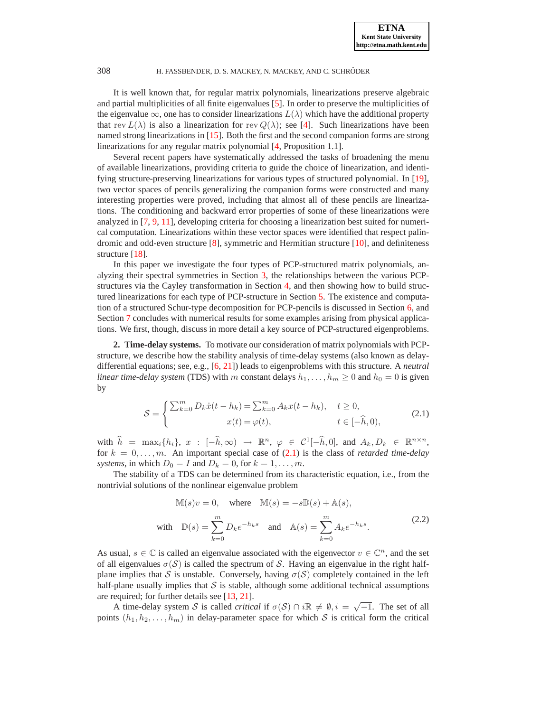It is well known that, for regular matrix polynomials, linearizations preserve algebraic and partial multiplicities of all finite eigenvalues [\[5\]](#page-23-1). In order to preserve the multiplicities of the eigenvalue  $\infty$ , one has to consider linearizations  $L(\lambda)$  which have the additional property that rev  $L(\lambda)$  is also a linearization for rev  $Q(\lambda)$ ; see [\[4\]](#page-23-2). Such linearizations have been named strong linearizations in [\[15\]](#page-24-4). Both the first and the second companion forms are strong linearizations for any regular matrix polynomial [\[4,](#page-23-2) Proposition 1.1].

Several recent papers have systematically addressed the tasks of broadening the menu of available linearizations, providing criteria to guide the choice of linearization, and identifying structure-preserving linearizations for various types of structured polynomial. In [\[19\]](#page-24-5), two vector spaces of pencils generalizing the companion forms were constructed and many interesting properties were proved, including that almost all of these pencils are linearizations. The conditioning and backward error properties of some of these linearizations were analyzed in [\[7,](#page-23-3) [9,](#page-23-4) [11\]](#page-24-6), developing criteria for choosing a linearization best suited for numerical computation. Linearizations within these vector spaces were identified that respect palindromic and odd-even structure [\[8\]](#page-23-5), symmetric and Hermitian structure [\[10\]](#page-24-7), and definiteness structure [\[18\]](#page-24-0).

In this paper we investigate the four types of PCP-structured matrix polynomials, analyzing their spectral symmetries in Section [3,](#page-5-0) the relationships between the various PCPstructures via the Cayley transformation in Section [4,](#page-6-0) and then showing how to build structured linearizations for each type of PCP-structure in Section [5.](#page-7-0) The existence and computation of a structured Schur-type decomposition for PCP-pencils is discussed in Section [6,](#page-17-0) and Section [7](#page-20-0) concludes with numerical results for some examples arising from physical applications. We first, though, discuss in more detail a key source of PCP-structured eigenproblems.

<span id="page-2-0"></span>**2. Time-delay systems.** To motivate our consideration of matrix polynomials with PCPstructure, we describe how the stability analysis of time-delay systems (also known as delaydifferential equations; see, e.g., [\[6,](#page-23-6) [21\]](#page-24-8)) leads to eigenproblems with this structure. A *neutral linear time-delay system* (TDS) with m constant delays  $h_1, \ldots, h_m \geq 0$  and  $h_0 = 0$  is given by

$$
S = \begin{cases} \sum_{k=0}^{m} D_k \dot{x}(t - h_k) = \sum_{k=0}^{m} A_k x(t - h_k), & t \ge 0, \\ x(t) = \varphi(t), & t \in [-\widehat{h}, 0), \end{cases}
$$
(2.1)

<span id="page-2-1"></span>with  $\hat{h} = \max_i \{h_i\}, x : [-\hat{h}, \infty) \rightarrow \mathbb{R}^n, \varphi \in C^1[-\hat{h}, 0],$  and  $A_k, D_k \in \mathbb{R}^{n \times n}$ , for  $k = 0, \ldots, m$ . An important special case of  $(2.1)$  is the class of *retarded time-delay systems*, in which  $D_0 = I$  and  $D_k = 0$ , for  $k = 1, \ldots, m$ .

The stability of a TDS can be determined from its characteristic equation, i.e., from the nontrivial solutions of the nonlinear eigenvalue problem

$$
\mathbb{M}(s)v = 0, \quad \text{where} \quad \mathbb{M}(s) = -s\mathbb{D}(s) + \mathbb{A}(s),
$$
\n
$$
\text{with} \quad \mathbb{D}(s) = \sum_{k=0}^{m} D_k e^{-h_k s} \quad \text{and} \quad \mathbb{A}(s) = \sum_{k=0}^{m} A_k e^{-h_k s}.
$$
\n
$$
(2.2)
$$

<span id="page-2-2"></span>As usual,  $s \in \mathbb{C}$  is called an eigenvalue associated with the eigenvector  $v \in \mathbb{C}^n$ , and the set of all eigenvalues  $\sigma(S)$  is called the spectrum of S. Having an eigenvalue in the right halfplane implies that S is unstable. Conversely, having  $\sigma(S)$  completely contained in the left half-plane usually implies that  $S$  is stable, although some additional technical assumptions are required; for further details see [\[13,](#page-24-9) [21\]](#page-24-8).

A time-delay system S is called *critical* if  $\sigma(S) \cap i\mathbb{R} \neq \emptyset$ ,  $i = \sqrt{-1}$ . The set of all points  $(h_1, h_2, \ldots, h_m)$  in delay-parameter space for which S is critical form the critical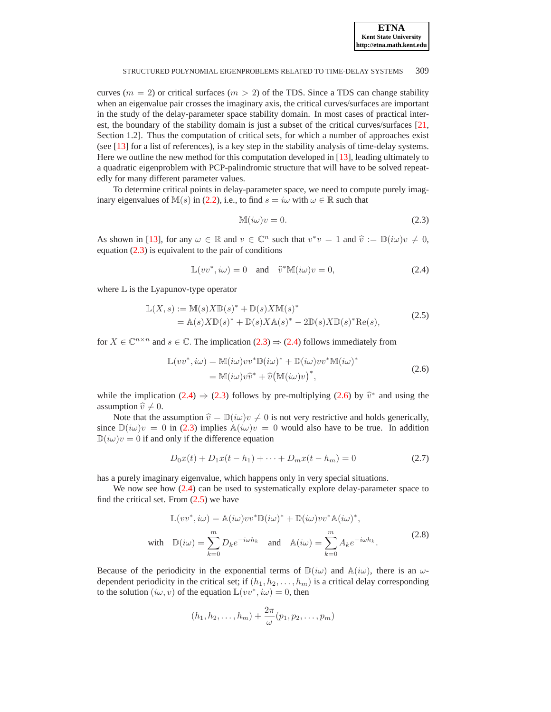

curves ( $m = 2$ ) or critical surfaces ( $m > 2$ ) of the TDS. Since a TDS can change stability when an eigenvalue pair crosses the imaginary axis, the critical curves/surfaces are important in the study of the delay-parameter space stability domain. In most cases of practical interest, the boundary of the stability domain is just a subset of the critical curves/surfaces [\[21,](#page-24-8) Section 1.2]. Thus the computation of critical sets, for which a number of approaches exist (see [\[13\]](#page-24-9) for a list of references), is a key step in the stability analysis of time-delay systems. Here we outline the new method for this computation developed in [\[13\]](#page-24-9), leading ultimately to a quadratic eigenproblem with PCP-palindromic structure that will have to be solved repeatedly for many different parameter values.

To determine critical points in delay-parameter space, we need to compute purely imag-inary eigenvalues of M(s) in [\(2.2\)](#page-2-2), i.e., to find  $s = i\omega$  with  $\omega \in \mathbb{R}$  such that

$$
\mathbb{M}(i\omega)v = 0.\tag{2.3}
$$

As shown in [\[13\]](#page-24-9), for any  $\omega \in \mathbb{R}$  and  $v \in \mathbb{C}^n$  such that  $v^*v = 1$  and  $\hat{v} := \mathbb{D}(i\omega)v \neq 0$ , equation [\(2.3\)](#page-3-0) is equivalent to the pair of conditions

<span id="page-3-0"></span>
$$
\mathbb{L}(vv^*, i\omega) = 0 \quad \text{and} \quad \widehat{v}^*\mathbb{M}(i\omega)v = 0,
$$
\n(2.4)

<span id="page-3-1"></span>where  $\mathbb L$  is the Lyapunov-type operator

$$
\mathbb{L}(X,s) := \mathbb{M}(s)X\mathbb{D}(s)^* + \mathbb{D}(s)X\mathbb{M}(s)^*
$$
  
=  $\mathbb{A}(s)X\mathbb{D}(s)^* + \mathbb{D}(s)X\mathbb{A}(s)^* - 2\mathbb{D}(s)X\mathbb{D}(s)^*\text{Re}(s),$  (2.5)

<span id="page-3-3"></span>for  $X \in \mathbb{C}^{n \times n}$  and  $s \in \mathbb{C}$ . The implication  $(2.3) \Rightarrow (2.4)$  $(2.3) \Rightarrow (2.4)$  $(2.3) \Rightarrow (2.4)$  follows immediately from

$$
\mathbb{L}(vv^*, i\omega) = \mathbb{M}(i\omega)vv^*\mathbb{D}(i\omega)^* + \mathbb{D}(i\omega)vv^*\mathbb{M}(i\omega)^* \n= \mathbb{M}(i\omega)v\widehat{v}^* + \widehat{v}(\mathbb{M}(i\omega)v)^*,
$$
\n(2.6)

<span id="page-3-2"></span>while the implication [\(2.4\)](#page-3-1)  $\Rightarrow$  [\(2.3\)](#page-3-0) follows by pre-multiplying [\(2.6\)](#page-3-2) by  $\hat{v}^*$  and using the assumption  $\hat{v} \neq 0$ .

Note that the assumption  $\hat{v} = \mathbb{D}(i\omega)v \neq 0$  is not very restrictive and holds generically, since  $\mathbb{D}(i\omega)v = 0$  in [\(2.3\)](#page-3-0) implies  $\mathbb{A}(i\omega)v = 0$  would also have to be true. In addition  $D(i\omega)v = 0$  if and only if the difference equation

$$
D_0x(t) + D_1x(t - h_1) + \dots + D_mx(t - h_m) = 0
$$
\n(2.7)

<span id="page-3-5"></span>has a purely imaginary eigenvalue, which happens only in very special situations.

We now see how  $(2.4)$  can be used to systematically explore delay-parameter space to find the critical set. From  $(2.5)$  we have

$$
\mathbb{L}(vv^*, i\omega) = \mathbb{A}(i\omega)vv^*\mathbb{D}(i\omega)^* + \mathbb{D}(i\omega)vv^*\mathbb{A}(i\omega)^*,
$$
  
with 
$$
\mathbb{D}(i\omega) = \sum_{k=0}^{m} D_k e^{-i\omega h_k} \text{ and } \mathbb{A}(i\omega) = \sum_{k=0}^{m} A_k e^{-i\omega h_k}.
$$
 (2.8)

<span id="page-3-4"></span>Because of the periodicity in the exponential terms of  $\mathbb{D}(i\omega)$  and  $\mathbb{A}(i\omega)$ , there is an  $\omega$ dependent periodicity in the critical set; if  $(h_1, h_2, \ldots, h_m)$  is a critical delay corresponding to the solution  $(i\omega, v)$  of the equation  $\mathbb{L}(vv^*, iw) = 0$ , then

$$
(h_1, h_2, \ldots, h_m) + \frac{2\pi}{\omega}(p_1, p_2, \ldots, p_m)
$$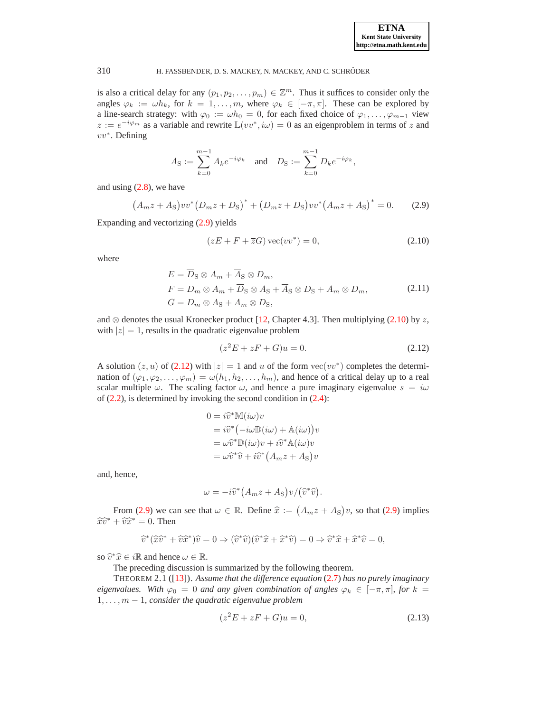is also a critical delay for any  $(p_1, p_2, \ldots, p_m) \in \mathbb{Z}^m$ . Thus it suffices to consider only the angles  $\varphi_k := \omega h_k$ , for  $k = 1, \ldots, m$ , where  $\varphi_k \in [-\pi, \pi]$ . These can be explored by a line-search strategy: with  $\varphi_0 := \omega h_0 = 0$ , for each fixed choice of  $\varphi_1, \ldots, \varphi_{m-1}$  view  $z := e^{-i\varphi_m}$  as a variable and rewrite  $\mathbb{L}(vv^*, i\omega) = 0$  as an eigenproblem in terms of z and vv<sup>∗</sup> . Defining

$$
A_{\rm S} := \sum_{k=0}^{m-1} A_k e^{-i\varphi_k} \quad \text{and} \quad D_{\rm S} := \sum_{k=0}^{m-1} D_k e^{-i\varphi_k},
$$

<span id="page-4-0"></span>and using  $(2.8)$ , we have

<span id="page-4-1"></span>
$$
(A_m z + A_S) vv^* (D_m z + D_S)^* + (D_m z + D_S) vv^* (A_m z + A_S)^* = 0.
$$
 (2.9)

Expanding and vectorizing [\(2.9\)](#page-4-0) yields

$$
(zE + F + \overline{z}G) \operatorname{vec}(vv^*) = 0,\tag{2.10}
$$

<span id="page-4-3"></span>where

$$
E = \overline{D}_{\rm S} \otimes A_m + \overline{A}_{\rm S} \otimes D_m,
$$
  
\n
$$
F = D_m \otimes A_m + \overline{D}_{\rm S} \otimes A_{\rm S} + \overline{A}_{\rm S} \otimes D_{\rm S} + A_m \otimes D_m,
$$
  
\n
$$
G = D_m \otimes A_{\rm S} + A_m \otimes D_{\rm S},
$$
\n(2.11)

and  $\otimes$  denotes the usual Kronecker product [\[12,](#page-24-10) Chapter 4.3]. Then multiplying [\(2.10\)](#page-4-1) by z, with  $|z| = 1$ , results in the quadratic eigenvalue problem

$$
(z^2E + zF + G)u = 0.
$$
 (2.12)

<span id="page-4-2"></span>A solution  $(z, u)$  of [\(2.12\)](#page-4-2) with  $|z| = 1$  and u of the form  $\text{vec}(vv^*)$  completes the determination of  $(\varphi_1, \varphi_2, \ldots, \varphi_m) = \omega(h_1, h_2, \ldots, h_m)$ , and hence of a critical delay up to a real scalar multiple  $\omega$ . The scaling factor  $\omega$ , and hence a pure imaginary eigenvalue  $s = i\omega$ of  $(2.2)$ , is determined by invoking the second condition in  $(2.4)$ :

$$
0 = i\hat{v}^* \mathbb{M}(i\omega)v
$$
  
=  $i\hat{v}^* (-i\omega \mathbb{D}(i\omega) + \mathbb{A}(i\omega))v$   
=  $\omega \hat{v}^* \mathbb{D}(i\omega)v + i\hat{v}^* \mathbb{A}(i\omega)v$   
=  $\omega \hat{v}^* \hat{v} + i\hat{v}^* (A_m z + A_S)v$ 

and, hence,

$$
\omega = -i\widehat{v}^*\big(A_m z + A_{\rm S}\big)v/\big(\widehat{v}^*\widehat{v}\big).
$$

From [\(2.9\)](#page-4-0) we can see that  $\omega \in \mathbb{R}$ . Define  $\hat{x} := (A_m z + A_S)v$ , so that [\(2.9\)](#page-4-0) implies  $\widehat{x}\widehat{v}^* + \widehat{v}\widehat{x}^* = 0$ . Then

$$
\widehat{v}^*(\widehat{x}\widehat{v}^* + \widehat{v}\widehat{x}^*)\widehat{v} = 0 \Rightarrow (\widehat{v}^*\widehat{v})(\widehat{v}^*\widehat{x} + \widehat{x}^*\widehat{v}) = 0 \Rightarrow \widehat{v}^*\widehat{x} + \widehat{x}^*\widehat{v} = 0,
$$

so  $\widehat{v}^*\widehat{x} \in i\mathbb{R}$  and hence  $\omega \in \mathbb{R}$ .

The preceding discussion is summarized by the following theorem.

THEOREM 2.1 ([\[13\]](#page-24-9)). *Assume that the difference equation* [\(2.7\)](#page-3-5) *has no purely imaginary eigenvalues.* With  $\varphi_0 = 0$  *and any given combination of angles*  $\varphi_k \in [-\pi, \pi]$ *, for*  $k =$  $1, \ldots, m-1$ , consider the quadratic eigenvalue problem

<span id="page-4-4"></span>
$$
(z^2E + zF + G)u = 0,\t(2.13)
$$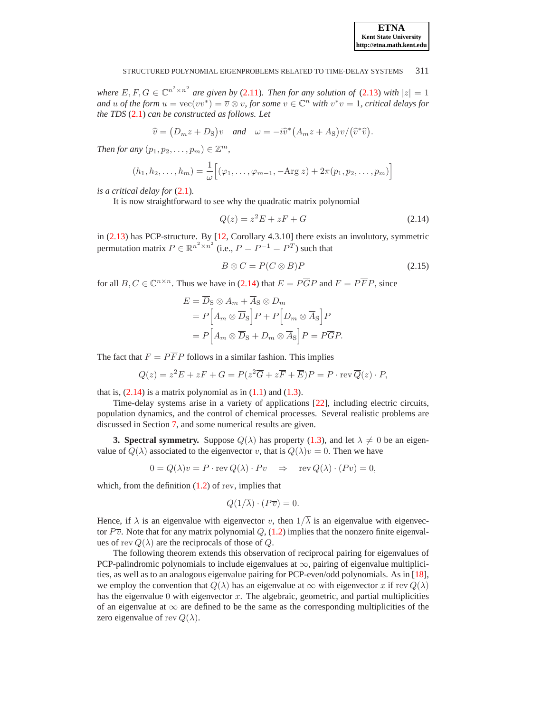

*where*  $E, F, G \in \mathbb{C}^{n^2 \times n^2}$  *are given by* [\(2.11\)](#page-4-3)*. Then for any solution of* [\(2.13\)](#page-4-4) *with*  $|z| = 1$ *and* u of the form  $u = \text{vec}(vv^*) = \overline{v} \otimes v$ , for some  $v \in \mathbb{C}^n$  with  $v^*v = 1$ , critical delays for *the TDS* [\(2.1\)](#page-2-1) *can be constructed as follows. Let*

$$
\hat{v} = (D_m z + D_S)v
$$
 and  $\omega = -i\hat{v}^* (A_m z + A_S)v/(\hat{v}^*\hat{v}).$ 

*Then for any*  $(p_1, p_2, \ldots, p_m) \in \mathbb{Z}^m$ ,

$$
(h_1, h_2,..., h_m) = \frac{1}{\omega} [(\varphi_1,..., \varphi_{m-1}, -\text{Arg } z) + 2\pi (p_1, p_2,..., p_m)]
$$

*is a critical delay for* [\(2.1\)](#page-2-1)*.*

<span id="page-5-1"></span>It is now straightforward to see why the quadratic matrix polynomial

$$
Q(z) = z2E + zF + G \tag{2.14}
$$

in [\(2.13\)](#page-4-4) has PCP-structure. By [\[12,](#page-24-10) Corollary 4.3.10] there exists an involutory, symmetric permutation matrix  $P \in \mathbb{R}^{n^2 \times n^2}$  (i.e.,  $P = P^{-1} = P^T$ ) such that

$$
B \otimes C = P(C \otimes B)P \tag{2.15}
$$

for all  $B, C \in \mathbb{C}^{n \times n}$ . Thus we have in [\(2.14\)](#page-5-1) that  $E = P\overline{G}P$  and  $F = P\overline{F}P$ , since

<span id="page-5-2"></span>
$$
E = \overline{D}_{\text{S}} \otimes A_m + \overline{A}_{\text{S}} \otimes D_m
$$
  
=  $P\left[A_m \otimes \overline{D}_{\text{S}}\right]P + P\left[D_m \otimes \overline{A}_{\text{S}}\right]P$   
=  $P\left[A_m \otimes \overline{D}_{\text{S}} + D_m \otimes \overline{A}_{\text{S}}\right]P = P\overline{G}P.$ 

The fact that  $F = P\overline{F}P$  follows in a similar fashion. This implies

$$
Q(z) = z2E + zF + G = P(z2 \overline{G} + z\overline{F} + \overline{E})P = P \cdot \text{rev } \overline{Q}(z) \cdot P,
$$

that is,  $(2.14)$  is a matrix polynomial as in  $(1.1)$  and  $(1.3)$ .

Time-delay systems arise in a variety of applications [\[22\]](#page-24-11), including electric circuits, population dynamics, and the control of chemical processes. Several realistic problems are discussed in Section [7,](#page-20-0) and some numerical results are given.

<span id="page-5-0"></span>**3. Spectral symmetry.** Suppose  $Q(\lambda)$  has property [\(1.3\)](#page-0-1), and let  $\lambda \neq 0$  be an eigenvalue of  $Q(\lambda)$  associated to the eigenvector v, that is  $Q(\lambda)v = 0$ . Then we have

$$
0 = Q(\lambda)v = P \cdot \operatorname{rev} \overline{Q}(\lambda) \cdot Pv \Rightarrow \operatorname{rev} \overline{Q}(\lambda) \cdot (Pv) = 0,
$$

which, from the definition  $(1.2)$  of rev, implies that

$$
Q(1/\overline{\lambda}) \cdot (P\overline{v}) = 0.
$$

Hence, if  $\lambda$  is an eigenvalue with eigenvector v, then  $1/\overline{\lambda}$  is an eigenvalue with eigenvector  $P\overline{v}$ . Note that for any matrix polynomial Q, [\(1.2\)](#page-0-2) implies that the nonzero finite eigenvalues of rev  $Q(\lambda)$  are the reciprocals of those of Q.

The following theorem extends this observation of reciprocal pairing for eigenvalues of PCP-palindromic polynomials to include eigenvalues at  $\infty$ , pairing of eigenvalue multiplicities, as well as to an analogous eigenvalue pairing for PCP-even/odd polynomials. As in [\[18\]](#page-24-0), we employ the convention that  $Q(\lambda)$  has an eigenvalue at  $\infty$  with eigenvector x if rev  $Q(\lambda)$ has the eigenvalue  $0$  with eigenvector  $x$ . The algebraic, geometric, and partial multiplicities of an eigenvalue at  $\infty$  are defined to be the same as the corresponding multiplicities of the zero eigenvalue of rev  $Q(\lambda)$ .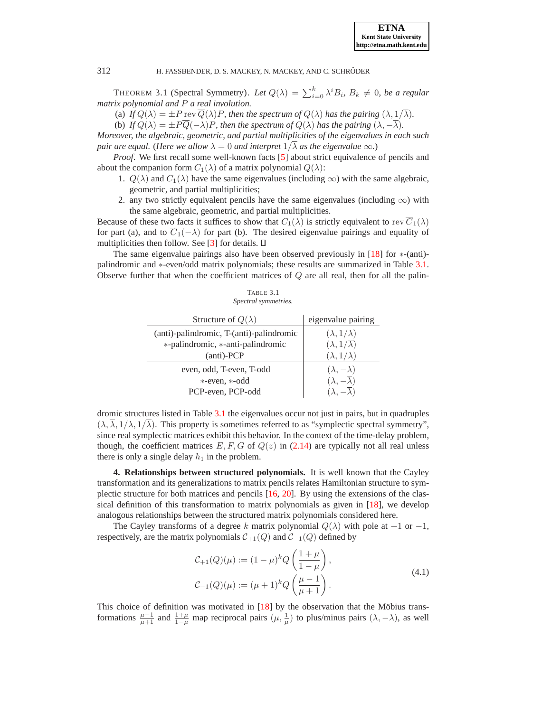<span id="page-6-3"></span>THEOREM 3.1 (Spectral Symmetry). Let  $Q(\lambda) = \sum_{i=0}^{k} \lambda^{i} B_{i}$ ,  $B_{k} \neq 0$ , be a regular *matrix polynomial and* P *a real involution.*

(a) *If*  $Q(\lambda) = \pm P$  rev  $\overline{Q}(\lambda)P$ , then the spectrum of  $Q(\lambda)$  has the pairing  $(\lambda, 1/\overline{\lambda})$ .

(b) *If*  $Q(\lambda) = \pm P\overline{Q}(-\lambda)P$ , then the spectrum of  $Q(\lambda)$  has the pairing  $(\lambda, -\overline{\lambda})$ .

*Moreover, the algebraic, geometric, and partial multiplicities of the eigenvalues in each such pair are equal.* (*Here we allow*  $\lambda = 0$  *and interpret*  $1/\overline{\lambda}$  *as the eigenvalue*  $\infty$ *.*)

*Proof*. We first recall some well-known facts [\[5\]](#page-23-1) about strict equivalence of pencils and about the companion form  $C_1(\lambda)$  of a matrix polynomial  $Q(\lambda)$ :

- 1.  $Q(\lambda)$  and  $C_1(\lambda)$  have the same eigenvalues (including  $\infty$ ) with the same algebraic, geometric, and partial multiplicities;
- 2. any two strictly equivalent pencils have the same eigenvalues (including  $\infty$ ) with the same algebraic, geometric, and partial multiplicities.

Because of these two facts it suffices to show that  $C_1(\lambda)$  is strictly equivalent to rev  $\overline{C}_1(\lambda)$ for part (a), and to  $\overline{C}_1(-\lambda)$  for part (b). The desired eigenvalue pairings and equality of multiplicities then follow. See [\[3\]](#page-23-7) for details.  $\Box$ 

The same eigenvalue pairings also have been observed previously in [\[18\]](#page-24-0) for ∗-(anti) palindromic and ∗-even/odd matrix polynomials; these results are summarized in Table [3.1.](#page-6-1) Observe further that when the coefficient matrices of  $Q$  are all real, then for all the palin-

| TABLE 3.1 |                      |  |  |  |  |
|-----------|----------------------|--|--|--|--|
|           | Spectral symmetries. |  |  |  |  |

<span id="page-6-1"></span>

| Structure of $Q(\lambda)$                | eigenvalue pairing                |
|------------------------------------------|-----------------------------------|
| (anti)-palindromic, T-(anti)-palindromic | $(\lambda, 1/\lambda)$            |
| *-palindromic, *-anti-palindromic        | $(\lambda, 1/\overline{\lambda})$ |
| (anti)-PCP                               | $(\lambda, 1/\lambda)$            |
| even, odd, T-even, T-odd                 | $(\lambda, -\lambda)$             |
| *-even, *-odd                            | $(\lambda, -\overline{\lambda})$  |
| PCP-even, PCP-odd                        |                                   |

dromic structures listed in Table [3.1](#page-6-1) the eigenvalues occur not just in pairs, but in quadruples  $(\lambda, \overline{\lambda}, 1/\lambda, 1/\overline{\lambda})$ . This property is sometimes referred to as "symplectic spectral symmetry", since real symplectic matrices exhibit this behavior. In the context of the time-delay problem, though, the coefficient matrices E, F, G of  $Q(z)$  in [\(2.14\)](#page-5-1) are typically not all real unless there is only a single delay  $h_1$  in the problem.

<span id="page-6-0"></span>**4. Relationships between structured polynomials.** It is well known that the Cayley transformation and its generalizations to matrix pencils relates Hamiltonian structure to symplectic structure for both matrices and pencils [\[16,](#page-24-12) [20\]](#page-24-13). By using the extensions of the classical definition of this transformation to matrix polynomials as given in [\[18\]](#page-24-0), we develop analogous relationships between the structured matrix polynomials considered here.

The Cayley transforms of a degree k matrix polynomial  $Q(\lambda)$  with pole at +1 or -1, respectively, are the matrix polynomials  $C_{+1}(Q)$  and  $C_{-1}(Q)$  defined by

$$
\mathcal{C}_{+1}(Q)(\mu) := (1 - \mu)^k Q\left(\frac{1 + \mu}{1 - \mu}\right),
$$
  

$$
\mathcal{C}_{-1}(Q)(\mu) := (\mu + 1)^k Q\left(\frac{\mu - 1}{\mu + 1}\right).
$$
 (4.1)

<span id="page-6-2"></span>This choice of definition was motivated in  $[18]$  by the observation that the Möbius transformations  $\frac{\mu-1}{\mu+1}$  and  $\frac{1+\mu}{1-\mu}$  map reciprocal pairs  $(\mu, \frac{1}{\mu})$  to plus/minus pairs  $(\lambda, -\lambda)$ , as well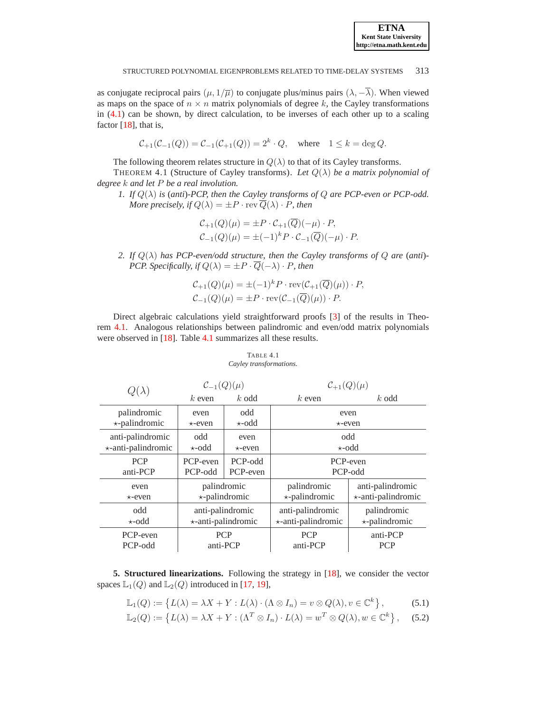

as conjugate reciprocal pairs  $(\mu, 1/\overline{\mu})$  to conjugate plus/minus pairs  $(\lambda, -\overline{\lambda})$ . When viewed as maps on the space of  $n \times n$  matrix polynomials of degree k, the Cayley transformations in  $(4.1)$  can be shown, by direct calculation, to be inverses of each other up to a scaling factor  $[18]$ , that is,

 $C_{+1}(C_{-1}(Q)) = C_{-1}(C_{+1}(Q)) = 2^k \cdot Q$ , where  $1 \le k = \deg Q$ .

The following theorem relates structure in  $Q(\lambda)$  to that of its Cayley transforms.

<span id="page-7-1"></span>THEOREM 4.1 (Structure of Cayley transforms). Let  $Q(\lambda)$  be a matrix polynomial of *degree* k *and let* P *be a real involution.*

*1. If* Q(λ) *is* (*anti*)*-PCP, then the Cayley transforms of* Q *are PCP-even or PCP-odd. More precisely, if*  $Q(\lambda) = \pm P \cdot \text{rev } \overline{Q}(\lambda) \cdot P$ *, then* 

$$
C_{+1}(Q)(\mu) = \pm P \cdot C_{+1}(Q)(-\mu) \cdot P,
$$
  
\n
$$
C_{-1}(Q)(\mu) = \pm (-1)^k P \cdot C_{-1}(\overline{Q})(-\mu) \cdot P.
$$

*2. If*  $Q(\lambda)$  *has PCP-even/odd structure, then the Cayley transforms of*  $Q$  *are* (*anti*)-*PCP. Specifically, if*  $Q(\lambda) = \pm P \cdot \overline{Q}(-\lambda) \cdot P$ *, then* 

$$
C_{+1}(Q)(\mu) = \pm (-1)^k P \cdot \text{rev}(C_{+1}(\overline{Q})(\mu)) \cdot P,
$$
  

$$
C_{-1}(Q)(\mu) = \pm P \cdot \text{rev}(C_{-1}(\overline{Q})(\mu)) \cdot P.
$$

Direct algebraic calculations yield straightforward proofs [\[3\]](#page-23-7) of the results in Theorem [4.1.](#page-7-1) Analogous relationships between palindromic and even/odd matrix polynomials were observed in [\[18\]](#page-24-0). Table [4.1](#page-7-2) summarizes all these results.

#### <span id="page-7-2"></span>TABLE 4.1 *Cayley transformations.*

|                      | $C_{-1}(Q)(\mu)$     |               | $\mathcal{C}_{+1}(Q)(\mu)$ |                           |  |  |
|----------------------|----------------------|---------------|----------------------------|---------------------------|--|--|
|                      | $k$ even             | $k$ odd       | $k$ even                   | $k$ odd                   |  |  |
| palindromic          | even                 | odd           |                            | even                      |  |  |
| $\star$ -palindromic | $\star$ -even        | $\star$ -odd  | $\star$ -even              |                           |  |  |
| anti-palindromic     | odd                  | even          | odd                        |                           |  |  |
| *-anti-palindromic   | $\star$ -odd         | $\star$ -even | $\star$ -odd               |                           |  |  |
| <b>PCP</b>           | PCP-even             | PCP-odd       | PCP-even                   |                           |  |  |
| anti-PCP             | PCP-odd              | PCP-even      | PCP-odd                    |                           |  |  |
| even                 | palindromic          |               | palindromic                | anti-palindromic          |  |  |
| $\star$ -even        | $\star$ -palindromic |               | $\star$ -palindromic       | $\star$ -anti-palindromic |  |  |
| odd                  | anti-palindromic     |               | anti-palindromic           | palindromic               |  |  |
| $\star$ -odd         | *-anti-palindromic   |               | *-anti-palindromic         | *-palindromic             |  |  |
| PCP-even             | <b>PCP</b>           |               | <b>PCP</b>                 | anti-PCP                  |  |  |
| PCP-odd              | anti-PCP             |               | anti-PCP                   | <b>PCP</b>                |  |  |

<span id="page-7-3"></span><span id="page-7-0"></span>**5. Structured linearizations.** Following the strategy in [\[18\]](#page-24-0), we consider the vector spaces  $\mathbb{L}_1(Q)$  and  $\mathbb{L}_2(Q)$  introduced in [\[17,](#page-24-14) [19\]](#page-24-5),

$$
\mathbb{L}_1(Q) := \left\{ L(\lambda) = \lambda X + Y : L(\lambda) \cdot (\Lambda \otimes I_n) = v \otimes Q(\lambda), v \in \mathbb{C}^k \right\},\tag{5.1}
$$

$$
\mathbb{L}_2(Q) := \left\{ L(\lambda) = \lambda X + Y : (\Lambda^T \otimes I_n) \cdot L(\lambda) = w^T \otimes Q(\lambda), w \in \mathbb{C}^k \right\},\tag{5.2}
$$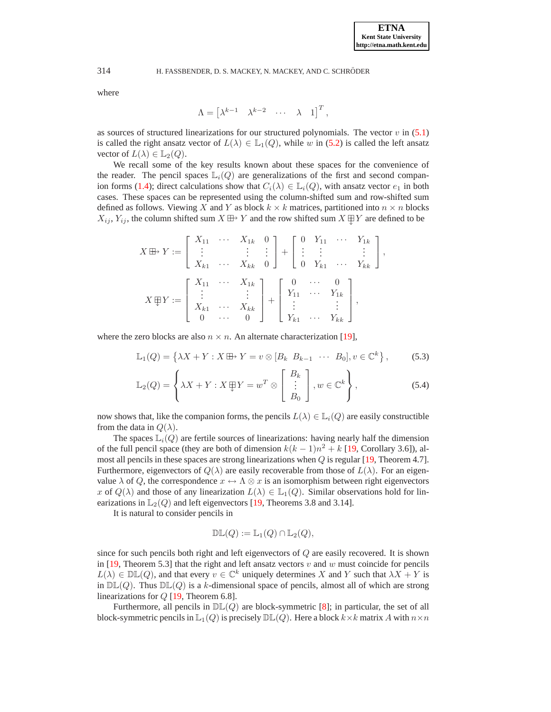where

$$
\Lambda = \begin{bmatrix} \lambda^{k-1} & \lambda^{k-2} & \cdots & \lambda & 1 \end{bmatrix}^T,
$$

as sources of structured linearizations for our structured polynomials. The vector  $v$  in [\(5.1\)](#page-7-3) is called the right ansatz vector of  $L(\lambda) \in \mathbb{L}_1(Q)$ , while w in [\(5.2\)](#page-7-3) is called the left ansatz vector of  $L(\lambda) \in \mathbb{L}_2(Q)$ .

We recall some of the key results known about these spaces for the convenience of the reader. The pencil spaces  $\mathbb{L}_i(Q)$  are generalizations of the first and second compan-ion forms [\(1.4\)](#page-1-0); direct calculations show that  $C_i(\lambda) \in \mathbb{L}_i(Q)$ , with ansatz vector  $e_1$  in both cases. These spaces can be represented using the column-shifted sum and row-shifted sum defined as follows. Viewing X and Y as block  $k \times k$  matrices, partitioned into  $n \times n$  blocks  $X_{ij}$ ,  $Y_{ij}$ , the column shifted sum  $X \oplus Y$  and the row shifted sum  $X \oplus Y$  are defined to be

$$
X \boxplus Y := \begin{bmatrix} X_{11} & \cdots & X_{1k} & 0 \\ \vdots & & \vdots & \vdots \\ X_{k1} & \cdots & X_{kk} & 0 \end{bmatrix} + \begin{bmatrix} 0 & Y_{11} & \cdots & Y_{1k} \\ \vdots & \vdots & & \vdots \\ 0 & Y_{k1} & \cdots & Y_{kk} \end{bmatrix},
$$

$$
X \boxplus Y := \begin{bmatrix} X_{11} & \cdots & X_{1k} \\ \vdots & & \vdots \\ X_{k1} & \cdots & X_{kk} \\ 0 & \cdots & 0 \end{bmatrix} + \begin{bmatrix} 0 & \cdots & 0 \\ Y_{11} & \cdots & Y_{1k} \\ \vdots & & \vdots \\ Y_{k1} & \cdots & Y_{kk} \end{bmatrix},
$$

<span id="page-8-0"></span>where the zero blocks are also  $n \times n$ . An alternate characterization [\[19\]](#page-24-5),

$$
\mathbb{L}_1(Q) = \left\{ \lambda X + Y : X \boxplus Y = v \otimes [B_k \ B_{k-1} \ \cdots \ B_0], v \in \mathbb{C}^k \right\},\tag{5.3}
$$

$$
\mathbb{L}_2(Q) = \left\{ \lambda X + Y : X \boxplus Y = w^T \otimes \begin{bmatrix} B_k \\ \vdots \\ B_0 \end{bmatrix}, w \in \mathbb{C}^k \right\},
$$
\n(5.4)

now shows that, like the companion forms, the pencils  $L(\lambda) \in \mathbb{L}_i(Q)$  are easily constructible from the data in  $Q(\lambda)$ .

The spaces  $\mathbb{L}_i(Q)$  are fertile sources of linearizations: having nearly half the dimension of the full pencil space (they are both of dimension  $k(k-1)n^2 + k$  [\[19,](#page-24-5) Corollary 3.6]), almost all pencils in these spaces are strong linearizations when  $Q$  is regular [\[19,](#page-24-5) Theorem 4.7]. Furthermore, eigenvectors of  $Q(\lambda)$  are easily recoverable from those of  $L(\lambda)$ . For an eigenvalue  $\lambda$  of Q, the correspondence  $x \leftrightarrow \Lambda \otimes x$  is an isomorphism between right eigenvectors x of  $Q(\lambda)$  and those of any linearization  $L(\lambda) \in \mathbb{L}_1(Q)$ . Similar observations hold for linearizations in  $\mathbb{L}_2(Q)$  and left eigenvectors [\[19,](#page-24-5) Theorems 3.8 and 3.14].

It is natural to consider pencils in

$$
\mathbb{DL}(Q) := \mathbb{L}_1(Q) \cap \mathbb{L}_2(Q),
$$

since for such pencils both right and left eigenvectors of  $Q$  are easily recovered. It is shown in  $[19,$  Theorem 5.3] that the right and left ansatz vectors v and w must coincide for pencils  $L(\lambda) \in \mathbb{DL}(Q)$ , and that every  $v \in \mathbb{C}^k$  uniquely determines X and Y such that  $\lambda X + Y$  is in  $D\mathbb{L}(Q)$ . Thus  $D\mathbb{L}(Q)$  is a k-dimensional space of pencils, almost all of which are strong linearizations for Q [\[19,](#page-24-5) Theorem 6.8].

Furthermore, all pencils in  $D\mathbb{L}(Q)$  are block-symmetric [\[8\]](#page-23-5); in particular, the set of all block-symmetric pencils in  $\mathbb{L}_1(Q)$  is precisely  $\mathbb{DL}(Q)$ . Here a block  $k \times k$  matrix A with  $n \times n$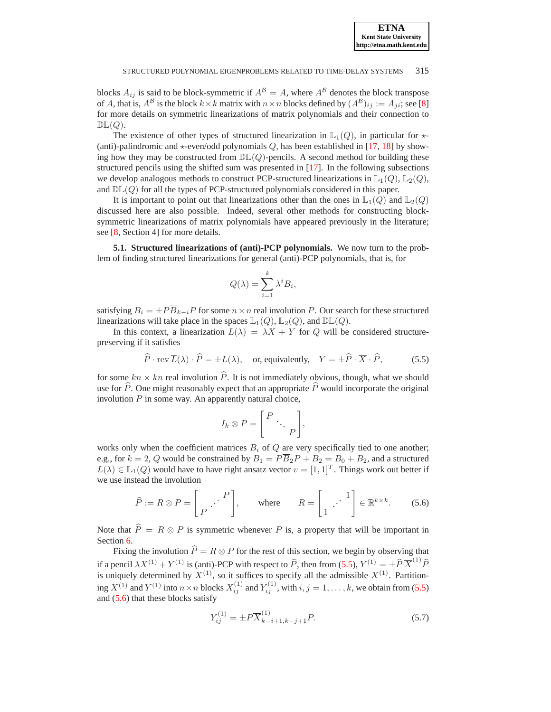blocks  $A_{ij}$  is said to be block-symmetric if  $A^{\mathcal{B}} = A$ , where  $A^{\mathcal{B}}$  denotes the block transpose of A, that is,  $A^{\mathcal{B}}$  is the block  $k \times k$  matrix with  $n \times n$  blocks defined by  $(A^{\mathcal{B}})_{ij} := A_{ji}$ ; see [\[8\]](#page-23-5) for more details on symmetric linearizations of matrix polynomials and their connection to  $\mathbb{DL}(Q)$ .

The existence of other types of structured linearization in  $\mathbb{L}_1(Q)$ , in particular for  $\star$ -(anti)-palindromic and  $\star$ -even/odd polynomials  $Q$ , has been established in [\[17,](#page-24-14) [18\]](#page-24-0) by showing how they may be constructed from  $\mathbb{DL}(Q)$ -pencils. A second method for building these structured pencils using the shifted sum was presented in [\[17\]](#page-24-14). In the following subsections we develop analogous methods to construct PCP-structured linearizations in  $\mathbb{L}_1(Q)$ ,  $\mathbb{L}_2(Q)$ , and  $\mathbb{DL}(Q)$  for all the types of PCP-structured polynomials considered in this paper.

It is important to point out that linearizations other than the ones in  $\mathbb{L}_1(Q)$  and  $\mathbb{L}_2(Q)$ discussed here are also possible. Indeed, several other methods for constructing blocksymmetric linearizations of matrix polynomials have appeared previously in the literature; see [\[8,](#page-23-5) Section 4] for more details.

<span id="page-9-3"></span>**5.1. Structured linearizations of (anti)-PCP polynomials.** We now turn to the problem of finding structured linearizations for general (anti)-PCP polynomials, that is, for

$$
Q(\lambda) = \sum_{i=1}^{k} \lambda^{i} B_{i},
$$

satisfying  $B_i = \pm P\overline{B}_{k-i}P$  for some  $n \times n$  real involution P. Our search for these structured linearizations will take place in the spaces  $\mathbb{L}_1(Q)$ ,  $\mathbb{L}_2(Q)$ , and  $\mathbb{DL}(Q)$ .

In this context, a linearization  $L(\lambda) = \lambda X + Y$  for Q will be considered structurepreserving if it satisfies

$$
\widehat{P} \cdot \text{rev } \overline{L}(\lambda) \cdot \widehat{P} = \pm L(\lambda), \quad \text{or, equivalently,} \quad Y = \pm \widehat{P} \cdot \overline{X} \cdot \widehat{P}, \tag{5.5}
$$

<span id="page-9-0"></span>for some  $kn \times kn$  real involution  $\hat{P}$ . It is not immediately obvious, though, what we should use for  $\hat{P}$ . One might reasonably expect that an appropriate  $\hat{P}$  would incorporate the original involution  $P$  in some way. An apparently natural choice,

$$
I_k \otimes P = \left[ \begin{array}{ccc} P & & \\ & \ddots & \\ & & P \end{array} \right],
$$

works only when the coefficient matrices  $B_i$  of  $Q$  are very specifically tied to one another; e.g., for  $k = 2$ , Q would be constrained by  $B_1 = P\overline{B}_2P + B_2 = B_0 + B_2$ , and a structured  $L(\lambda) \in \mathbb{L}_1(Q)$  would have to have right ansatz vector  $v = [1, 1]^T$ . Things work out better if we use instead the involution

$$
\widehat{P} := R \otimes P = \begin{bmatrix} P \\ P \end{bmatrix}, \quad \text{where} \quad R = \begin{bmatrix} 1 \\ \vdots \end{bmatrix} \in \mathbb{R}^{k \times k}.
$$
 (5.6)

<span id="page-9-1"></span>Note that  $\hat{P} = R \otimes P$  is symmetric whenever P is, a property that will be important in Section [6.](#page-17-0)

Fixing the involution  $\hat{P} = R \otimes P$  for the rest of this section, we begin by observing that if a pencil  $\lambda X^{(1)} + Y^{(1)}$  is (anti)-PCP with respect to  $\hat{P}$ , then from [\(5.5\)](#page-9-0),  $Y^{(1)} = \pm \hat{P} \overline{X}^{(1)} \hat{P}$ is uniquely determined by  $X^{(1)}$ , so it suffices to specify all the admissible  $X^{(1)}$ . Partitioning  $X^{(1)}$  and  $Y^{(1)}$  into  $n \times n$  blocks  $X_{ij}^{(1)}$  and  $Y_{ij}^{(1)}$ , with  $i, j = 1, ..., k$ , we obtain from [\(5.5\)](#page-9-0) and [\(5.6\)](#page-9-1) that these blocks satisfy

<span id="page-9-2"></span>
$$
Y_{ij}^{(1)} = \pm P \overline{X}_{k-i+1,k-j+1}^{(1)} P.
$$
\n(5.7)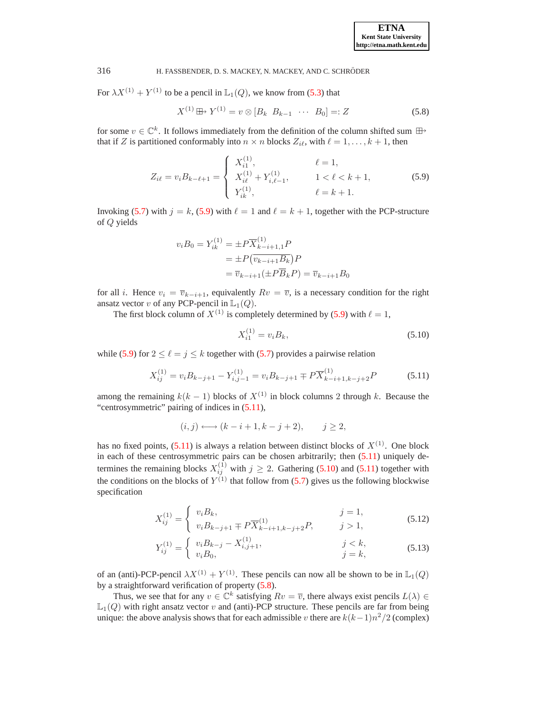<span id="page-10-3"></span>For  $\lambda X^{(1)} + Y^{(1)}$  to be a pencil in  $\mathbb{L}_1(Q)$ , we know from [\(5.3\)](#page-8-0) that

$$
X^{(1)} \boxplus Y^{(1)} = v \otimes [B_k \ B_{k-1} \ \cdots \ B_0] =: Z \tag{5.8}
$$

for some  $v \in \mathbb{C}^k$ . It follows immediately from the definition of the column shifted sum  $\boxplus$ that if Z is partitioned conformably into  $n \times n$  blocks  $Z_{i\ell}$ , with  $\ell = 1, \ldots, k + 1$ , then

$$
Z_{i\ell} = v_i B_{k-\ell+1} = \begin{cases} X_{i1}^{(1)}, & \ell = 1, \\ X_{i\ell}^{(1)} + Y_{i,\ell-1}^{(1)}, & 1 < \ell < k+1, \\ Y_{i\ell}^{(1)}, & \ell = k+1. \end{cases}
$$
(5.9)

<span id="page-10-0"></span>Invoking [\(5.7\)](#page-9-2) with  $j = k$ , [\(5.9\)](#page-10-0) with  $\ell = 1$  and  $\ell = k + 1$ , together with the PCP-structure of Q yields

$$
v_i B_0 = Y_{ik}^{(1)} = \pm P \overline{X}_{k-i+1,1}^{(1)} P
$$
  
=  $\pm P \left( \overline{v_{k-i+1} B_k} \right) P$   
=  $\overline{v}_{k-i+1} (\pm P \overline{B}_k P) = \overline{v}_{k-i+1} B_0$ 

for all *i*. Hence  $v_i = \overline{v}_{k-i+1}$ , equivalently  $Rv = \overline{v}$ , is a necessary condition for the right ansatz vector v of any PCP-pencil in  $\mathbb{L}_1(Q)$ .

The first block column of  $X^{(1)}$  is completely determined by [\(5.9\)](#page-10-0) with  $\ell = 1$ ,

$$
X_{i1}^{(1)} = v_i B_k,\tag{5.10}
$$

while [\(5.9\)](#page-10-0) for  $2 \le \ell = j \le k$  together with [\(5.7\)](#page-9-2) provides a pairwise relation

<span id="page-10-2"></span>
$$
X_{ij}^{(1)} = v_i B_{k-j+1} - Y_{i,j-1}^{(1)} = v_i B_{k-j+1} \mp P \overline{X}_{k-i+1,k-j+2}^{(1)} P
$$
 (5.11)

<span id="page-10-1"></span>among the remaining  $k(k - 1)$  blocks of  $X^{(1)}$  in block columns 2 through k. Because the "centrosymmetric" pairing of indices in [\(5.11\)](#page-10-1),

$$
(i,j) \longleftrightarrow (k-i+1,k-j+2), \qquad j \ge 2,
$$

has no fixed points,  $(5.11)$  is always a relation between distinct blocks of  $X^{(1)}$ . One block in each of these centrosymmetric pairs can be chosen arbitrarily; then [\(5.11\)](#page-10-1) uniquely determines the remaining blocks  $X_{ij}^{(1)}$  with  $j \ge 2$ . Gathering [\(5.10\)](#page-10-2) and [\(5.11\)](#page-10-1) together with the conditions on the blocks of  $Y^{(1)}$  that follow from [\(5.7\)](#page-9-2) gives us the following blockwise specification

$$
X_{ij}^{(1)} = \begin{cases} v_i B_k, & j = 1, \\ v_i B_{k-j+1} \mp P \overline{X}_{k-i+1,k-j+2}^{(1)} P, & j > 1, \end{cases}
$$
(5.12)

$$
Y_{ij}^{(1)} = \begin{cases} v_i B_{k-j} - X_{i,j+1}^{(1)}, & j < k, \\ v_i B_0, & j = k, \end{cases}
$$
 (5.13)

<span id="page-10-4"></span>of an (anti)-PCP-pencil  $\lambda X^{(1)} + Y^{(1)}$ . These pencils can now all be shown to be in  $\mathbb{L}_1(Q)$ by a straightforward verification of property [\(5.8\)](#page-10-3).

Thus, we see that for any  $v \in \mathbb{C}^k$  satisfying  $Rv = \overline{v}$ , there always exist pencils  $L(\lambda) \in \mathbb{C}^k$  $\mathbb{L}_1(Q)$  with right ansatz vector v and (anti)-PCP structure. These pencils are far from being unique: the above analysis shows that for each admissible v there are  $k(k-1)n^2/2$  (complex)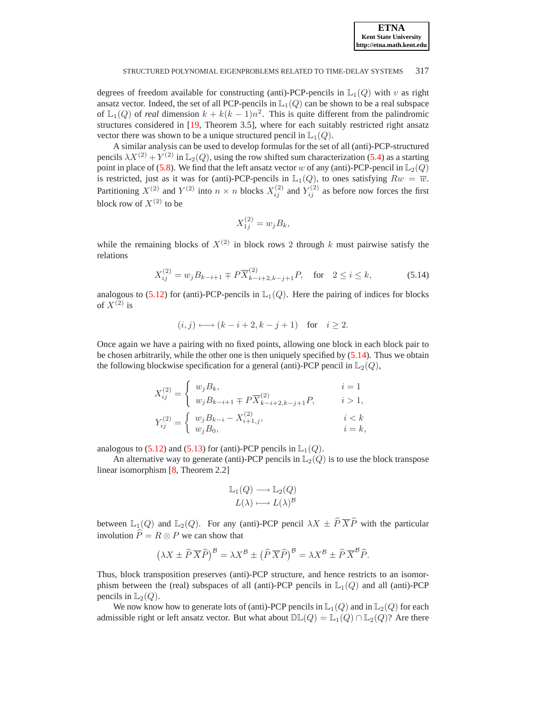

degrees of freedom available for constructing (anti)-PCP-pencils in  $\mathbb{L}_1(Q)$  with v as right ansatz vector. Indeed, the set of all PCP-pencils in  $\mathbb{L}_1(Q)$  can be shown to be a real subspace of  $\mathbb{L}_1(Q)$  of *real* dimension  $k + k(k-1)n^2$ . This is quite different from the palindromic structures considered in [\[19,](#page-24-5) Theorem 3.5], where for each suitably restricted right ansatz vector there was shown to be a unique structured pencil in  $\mathbb{L}_1(Q)$ .

A similar analysis can be used to develop formulas for the set of all (anti)-PCP-structured pencils  $\lambda X^{(2)} + Y^{(2)}$  in  $\mathbb{L}_2(Q)$ , using the row shifted sum characterization [\(5.4\)](#page-8-0) as a starting point in place of [\(5.8\)](#page-10-3). We find that the left ansatz vector w of any (anti)-PCP-pencil in  $\mathbb{L}_2(Q)$ is restricted, just as it was for (anti)-PCP-pencils in  $\mathbb{L}_1(Q)$ , to ones satisfying  $Rw = \overline{w}$ . Partitioning  $X^{(2)}$  and  $Y^{(2)}$  into  $n \times n$  blocks  $X_{ij}^{(2)}$  and  $Y_{ij}^{(2)}$  as before now forces the first block row of  $X^{(2)}$  to be

$$
X_{1j}^{(2)} = w_j B_k,
$$

while the remaining blocks of  $X^{(2)}$  in block rows 2 through k must pairwise satisfy the relations

$$
X_{ij}^{(2)} = w_j B_{k-i+1} \mp P \overline{X}_{k-i+2,k-j+1}^{(2)} P, \quad \text{for} \quad 2 \le i \le k,
$$
 (5.14)

<span id="page-11-0"></span>analogous to  $(5.12)$  for (anti)-PCP-pencils in  $\mathbb{L}_1(Q)$ . Here the pairing of indices for blocks of  $X^{(2)}$  is

$$
(i,j) \longleftrightarrow (k-i+2, k-j+1) \text{ for } i \ge 2.
$$

Once again we have a pairing with no fixed points, allowing one block in each block pair to be chosen arbitrarily, while the other one is then uniquely specified by [\(5.14\)](#page-11-0). Thus we obtain the following blockwise specification for a general (anti)-PCP pencil in  $\mathbb{L}_2(Q)$ ,

$$
\begin{aligned} X_{ij}^{(2)} &= \left\{ \begin{array}{ll} w_j B_k, & i=1 \\ w_j B_{k-i+1} \mp P \overline{X}_{k-i+2,k-j+1}^{(2)} P, & i>1, \\ v_j^{\,(2)} &= \left\{ \begin{array}{ll} w_j B_{k-i} - X_{i+1,j}^{(2)}, & i < k \\ w_j B_0, & i=k, \end{array} \right. \end{aligned} \right. \end{aligned}
$$

analogous to [\(5.12\)](#page-10-4) and [\(5.13\)](#page-10-4) for (anti)-PCP pencils in  $\mathbb{L}_1(Q)$ .

An alternative way to generate (anti)-PCP pencils in  $\mathbb{L}_2(Q)$  is to use the block transpose linear isomorphism [\[8,](#page-23-5) Theorem 2.2]

$$
\mathbb{L}_1(Q) \longrightarrow \mathbb{L}_2(Q)
$$

$$
L(\lambda) \longmapsto L(\lambda)^{\mathcal{B}}
$$

between  $\mathbb{L}_1(Q)$  and  $\mathbb{L}_2(Q)$ . For any (anti)-PCP pencil  $\lambda X \pm \hat{P} \overline{X} \hat{P}$  with the particular involution  $\hat{P} = R \otimes P$  we can show that

$$
\left(\lambda X \pm \widehat{P} \, \overline{X} \widehat{P}\right)^{\mathcal{B}} = \lambda X^{\mathcal{B}} \pm \left(\widehat{P} \, \overline{X} \widehat{P}\right)^{\mathcal{B}} = \lambda X^{\mathcal{B}} \pm \widehat{P} \, \overline{X}^{\mathcal{B}} \widehat{P}.
$$

Thus, block transposition preserves (anti)-PCP structure, and hence restricts to an isomorphism between the (real) subspaces of all (anti)-PCP pencils in  $\mathbb{L}_1(Q)$  and all (anti)-PCP pencils in  $\mathbb{L}_2(Q)$ .

We now know how to generate lots of (anti)-PCP pencils in  $\mathbb{L}_1(Q)$  and in  $\mathbb{L}_2(Q)$  for each admissible right or left ansatz vector. But what about  $\mathbb{DL}(Q) = \mathbb{L}_1(Q) \cap \mathbb{L}_2(Q)$ ? Are there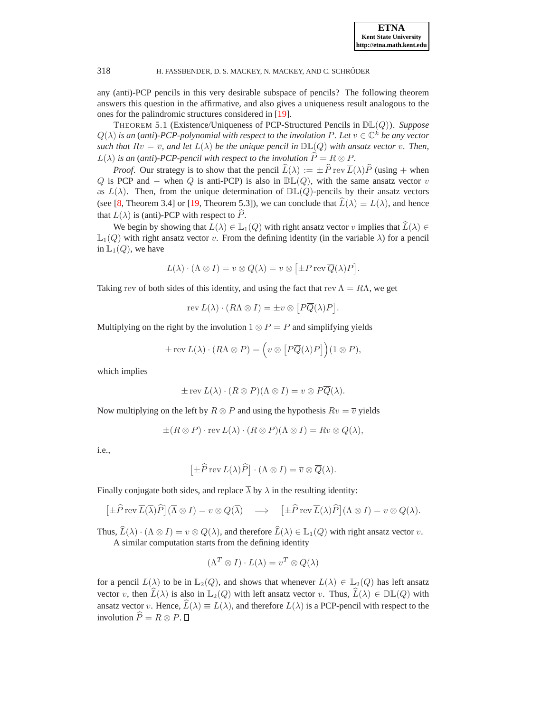any (anti)-PCP pencils in this very desirable subspace of pencils? The following theorem answers this question in the affirmative, and also gives a uniqueness result analogous to the ones for the palindromic structures considered in [\[19\]](#page-24-5).

<span id="page-12-0"></span>THEOREM 5.1 (Existence/Uniqueness of PCP-Structured Pencils in DL(Q)). *Suppose*  $Q(\lambda)$  *is an (anti)-PCP-polynomial with respect to the involution P. Let*  $v \in \mathbb{C}^k$  *be any vector such that*  $Rv = \overline{v}$ , and let  $L(\lambda)$  *be the unique pencil in*  $\mathbb{DL}(Q)$  *with ansatz vector v. Then,*  $L(\lambda)$  *is an (anti)-PCP-pencil with respect to the involution*  $\widehat{P} = R \otimes P$ *.* 

*Proof.* Our strategy is to show that the pencil  $\hat{L}(\lambda) := \pm \hat{P}$  rev  $\overline{L}(\lambda)\hat{P}$  (using + when Q is PCP and – when Q is anti-PCP) is also in  $\mathbb{DL}(Q)$ , with the same ansatz vector v as  $L(\lambda)$ . Then, from the unique determination of  $\mathbb{DL}(Q)$ -pencils by their ansatz vectors (see [\[8,](#page-23-5) Theorem 3.4] or [\[19,](#page-24-5) Theorem 5.3]), we can conclude that  $\widehat{L}(\lambda) \equiv L(\lambda)$ , and hence that  $L(\lambda)$  is (anti)-PCP with respect to  $\hat{P}$ .

We begin by showing that  $L(\lambda) \in \mathbb{L}_1(Q)$  with right ansatz vector v implies that  $\widehat{L}(\lambda) \in$  $\mathbb{L}_1(Q)$  with right ansatz vector v. From the defining identity (in the variable  $\lambda$ ) for a pencil in  $\mathbb{L}_1(Q)$ , we have

$$
L(\lambda) \cdot (\Lambda \otimes I) = v \otimes Q(\lambda) = v \otimes [\pm P \operatorname{rev} \overline{Q}(\lambda) P].
$$

Taking rev of both sides of this identity, and using the fact that rev  $\Lambda = R\Lambda$ , we get

$$
rev L(\lambda) \cdot (R\Lambda \otimes I) = \pm v \otimes [P\overline{Q}(\lambda)P].
$$

Multiplying on the right by the involution  $1 \otimes P = P$  and simplifying yields

$$
\pm \operatorname{rev} L(\lambda) \cdot (R\Lambda \otimes P) = \left( v \otimes \left[ P \overline{Q}(\lambda) P \right] \right) (1 \otimes P),
$$

which implies

$$
\pm \operatorname{rev} L(\lambda) \cdot (R \otimes P)(\Lambda \otimes I) = v \otimes P\overline{Q}(\lambda).
$$

Now multiplying on the left by  $R \otimes P$  and using the hypothesis  $Rv = \overline{v}$  yields

$$
\pm (R \otimes P) \cdot \text{rev } L(\lambda) \cdot (R \otimes P)(\Lambda \otimes I) = Rv \otimes \overline{Q}(\lambda),
$$

i.e.,

$$
\left[\pm \widehat{P} \operatorname{rev} L(\lambda) \widehat{P}\right] \cdot (\Lambda \otimes I) = \overline{v} \otimes \overline{Q}(\lambda).
$$

Finally conjugate both sides, and replace  $\overline{\lambda}$  by  $\lambda$  in the resulting identity:

$$
[\pm \widehat{P} \operatorname{rev} \overline{L}(\overline{\lambda}) \widehat{P}] (\overline{\Lambda} \otimes I) = v \otimes Q(\overline{\lambda}) \implies [\pm \widehat{P} \operatorname{rev} \overline{L}(\lambda) \widehat{P}] (\Lambda \otimes I) = v \otimes Q(\lambda).
$$

Thus,  $\widehat{L}(\lambda) \cdot (\Lambda \otimes I) = v \otimes Q(\lambda)$ , and therefore  $\widehat{L}(\lambda) \in L_1(Q)$  with right ansatz vector v. A similar computation starts from the defining identity

$$
(\Lambda^T \otimes I) \cdot L(\lambda) = v^T \otimes Q(\lambda)
$$

for a pencil  $L(\lambda)$  to be in  $\mathbb{L}_2(Q)$ , and shows that whenever  $L(\lambda) \in \mathbb{L}_2(Q)$  has left ansatz vector v, then  $\widehat{L}(\lambda)$  is also in  $\mathbb{L}_2(Q)$  with left ansatz vector v. Thus,  $\widehat{L}(\lambda) \in \mathbb{DL}(Q)$  with ansatz vector v. Hence,  $\widehat{L}(\lambda) \equiv L(\lambda)$ , and therefore  $L(\lambda)$  is a PCP-pencil with respect to the involution  $\widehat{P} = R \otimes P$ .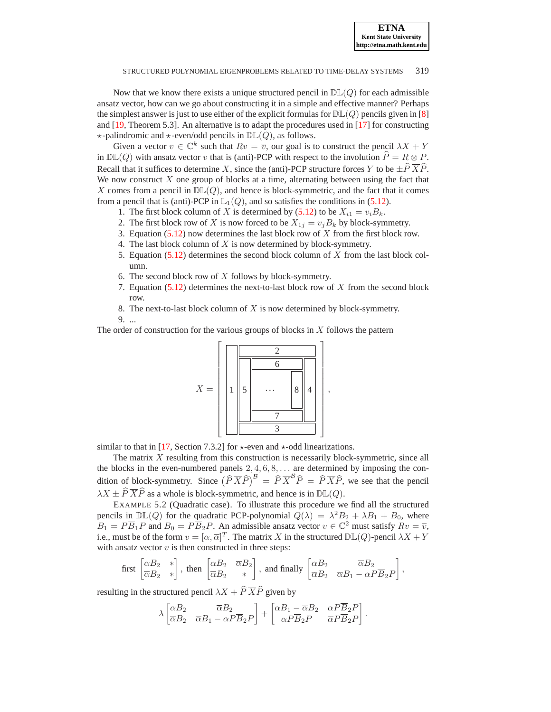Now that we know there exists a unique structured pencil in  $D\mathbb{L}(Q)$  for each admissible ansatz vector, how can we go about constructing it in a simple and effective manner? Perhaps the simplest answer is just to use either of the explicit formulas for  $\mathbb{DL}(Q)$  pencils given in [\[8\]](#page-23-5) and [\[19,](#page-24-5) Theorem 5.3]. An alternative is to adapt the procedures used in [\[17\]](#page-24-14) for constructing  $\star$ -palindromic and  $\star$ -even/odd pencils in  $\mathbb{DL}(Q)$ , as follows.

Given a vector  $v \in \mathbb{C}^k$  such that  $Rv = \overline{v}$ , our goal is to construct the pencil  $\lambda X + Y$ in  $\mathbb{DL}(Q)$  with ansatz vector v that is (anti)-PCP with respect to the involution  $\widehat{P} = R \otimes P$ . Recall that it suffices to determine X, since the (anti)-PCP structure forces Y to be  $\pm \hat{P} \overline{X}\hat{P}$ . We now construct  $X$  one group of blocks at a time, alternating between using the fact that X comes from a pencil in  $D\mathbb{L}(Q)$ , and hence is block-symmetric, and the fact that it comes from a pencil that is (anti)-PCP in  $\mathbb{L}_1(Q)$ , and so satisfies the conditions in [\(5.12\)](#page-10-4).

- 1. The first block column of X is determined by [\(5.12\)](#page-10-4) to be  $X_{i1} = v_i B_k$ .
- 2. The first block row of X is now forced to be  $X_{1j} = v_j B_k$  by block-symmetry.
- 3. Equation  $(5.12)$  now determines the last block row of X from the first block row.
- 4. The last block column of X is now determined by block-symmetry.
- 5. Equation [\(5.12\)](#page-10-4) determines the second block column of X from the last block column.
- 6. The second block row of  $X$  follows by block-symmetry.
- 7. Equation  $(5.12)$  determines the next-to-last block row of X from the second block row.
- 8. The next-to-last block column of  $X$  is now determined by block-symmetry. 9. ...

The order of construction for the various groups of blocks in  $X$  follows the pattern



similar to that in [\[17,](#page-24-14) Section 7.3.2] for  $\star$ -even and  $\star$ -odd linearizations.

The matrix X resulting from this construction is necessarily block-symmetric, since all the blocks in the even-numbered panels  $2, 4, 6, 8, \ldots$  are determined by imposing the condition of block-symmetry. Since  $\left(\hat{P}\overline{X}\hat{P}\right)^{B} = \hat{P}\overline{X}^{B}\hat{P} = \hat{P}\overline{X}\hat{P}$ , we see that the pencil  $\lambda X \pm \hat{P} \overline{X} \hat{P}$  as a whole is block-symmetric, and hence is in  $\mathbb{DL}(Q)$ .

<span id="page-13-0"></span>EXAMPLE 5.2 (Quadratic case). To illustrate this procedure we find all the structured pencils in  $\mathbb{DL}(Q)$  for the quadratic PCP-polynomial  $Q(\lambda) = \lambda^2 B_2 + \lambda B_1 + B_0$ , where  $B_1 = P\overline{B}_1P$  and  $B_0 = P\overline{B}_2P$ . An admissible ansatz vector  $v \in \mathbb{C}^2$  must satisfy  $Rv = \overline{v}$ , i.e., must be of the form  $v = [\alpha, \overline{\alpha}]^T$ . The matrix X in the structured  $\mathbb{DL}(Q)$ -pencil  $\lambda X + Y$ with ansatz vector  $v$  is then constructed in three steps:

$$
\text{first } \begin{bmatrix} \alpha B_2 & * \\ \overline{\alpha} B_2 & * \end{bmatrix}, \text{ then } \begin{bmatrix} \alpha B_2 & \overline{\alpha} B_2 \\ \overline{\alpha} B_2 & * \end{bmatrix}, \text{ and finally } \begin{bmatrix} \alpha B_2 & \overline{\alpha} B_2 \\ \overline{\alpha} B_2 & \overline{\alpha} B_1 - \alpha P \overline{B}_2 P \end{bmatrix},
$$

resulting in the structured pencil  $\lambda X + \hat{P} \overline{X} \hat{P}$  given by

$$
\lambda \begin{bmatrix} \alpha B_2 & \overline{\alpha} B_2 \\ \overline{\alpha} B_2 & \overline{\alpha} B_1 - \alpha P \overline{B}_2 P \end{bmatrix} + \begin{bmatrix} \alpha B_1 - \overline{\alpha} B_2 & \alpha P \overline{B}_2 P \\ \alpha P \overline{B}_2 P & \overline{\alpha} P \overline{B}_2 P \end{bmatrix}.
$$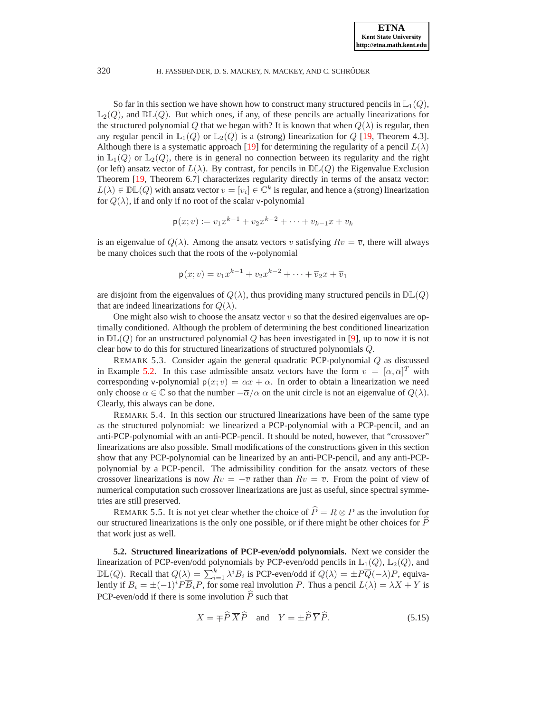So far in this section we have shown how to construct many structured pencils in  $\mathbb{L}_1(Q)$ ,  $\mathbb{L}_2(Q)$ , and  $\mathbb{DL}(Q)$ . But which ones, if any, of these pencils are actually linearizations for the structured polynomial Q that we began with? It is known that when  $Q(\lambda)$  is regular, then any regular pencil in  $\mathbb{L}_1(Q)$  or  $\mathbb{L}_2(Q)$  is a (strong) linearization for Q [\[19,](#page-24-5) Theorem 4.3]. Although there is a systematic approach [\[19\]](#page-24-5) for determining the regularity of a pencil  $L(\lambda)$ in  $\mathbb{L}_1(Q)$  or  $\mathbb{L}_2(Q)$ , there is in general no connection between its regularity and the right (or left) ansatz vector of  $L(\lambda)$ . By contrast, for pencils in  $\mathbb{DL}(Q)$  the Eigenvalue Exclusion Theorem [\[19,](#page-24-5) Theorem 6.7] characterizes regularity directly in terms of the ansatz vector:  $L(\lambda) \in \mathbb{DL}(Q)$  with ansatz vector  $v = [v_i] \in \mathbb{C}^k$  is regular, and hence a (strong) linearization for  $Q(\lambda)$ , if and only if no root of the scalar v-polynomial

$$
\mathsf{p}(x;v) := v_1 x^{k-1} + v_2 x^{k-2} + \dots + v_{k-1} x + v_k
$$

is an eigenvalue of  $Q(\lambda)$ . Among the ansatz vectors v satisfying  $Rv = \overline{v}$ , there will always be many choices such that the roots of the v-polynomial

$$
\mathsf{p}(x; v) = v_1 x^{k-1} + v_2 x^{k-2} + \dots + \overline{v}_2 x + \overline{v}_1
$$

are disjoint from the eigenvalues of  $Q(\lambda)$ , thus providing many structured pencils in  $\mathbb{DL}(Q)$ that are indeed linearizations for  $Q(\lambda)$ .

One might also wish to choose the ansatz vector  $v$  so that the desired eigenvalues are optimally conditioned. Although the problem of determining the best conditioned linearization in  $D\mathbb{L}(Q)$  for an unstructured polynomial Q has been investigated in [\[9\]](#page-23-4), up to now it is not clear how to do this for structured linearizations of structured polynomials Q.

REMARK 5.3. Consider again the general quadratic PCP-polynomial Q as discussed in Example [5.2.](#page-13-0) In this case admissible ansatz vectors have the form  $v = [\alpha, \overline{\alpha}]^T$  with corresponding v-polynomial  $p(x; v) = \alpha x + \overline{\alpha}$ . In order to obtain a linearization we need only choose  $\alpha \in \mathbb{C}$  so that the number  $-\overline{\alpha}/\alpha$  on the unit circle is not an eigenvalue of  $Q(\lambda)$ . Clearly, this always can be done.

REMARK 5.4. In this section our structured linearizations have been of the same type as the structured polynomial: we linearized a PCP-polynomial with a PCP-pencil, and an anti-PCP-polynomial with an anti-PCP-pencil. It should be noted, however, that "crossover" linearizations are also possible. Small modifications of the constructions given in this section show that any PCP-polynomial can be linearized by an anti-PCP-pencil, and any anti-PCPpolynomial by a PCP-pencil. The admissibility condition for the ansatz vectors of these crossover linearizations is now  $Rv = -\overline{v}$  rather than  $Rv = \overline{v}$ . From the point of view of numerical computation such crossover linearizations are just as useful, since spectral symmetries are still preserved.

REMARK 5.5. It is not yet clear whether the choice of  $\hat{P} = R \otimes P$  as the involution for our structured linearizations is the only one possible, or if there might be other choices for  $P$ that work just as well.

**5.2. Structured linearizations of PCP-even/odd polynomials.** Next we consider the linearization of PCP-even/odd polynomials by PCP-even/odd pencils in  $\mathbb{L}_1(Q)$ ,  $\mathbb{L}_2(Q)$ , and  $\mathbb{DL}(Q)$ . Recall that  $Q(\lambda)$  =  $\sum_{i=1}^{k} \lambda^{i} B_i$  is PCP-even/odd if  $Q(\lambda) = \pm P\overline{Q}(-\lambda)P$ , equivalently if  $B_i = \pm (-1)^i P \overline{B}_i P$ , for some real involution P. Thus a pencil  $L(\lambda) = \lambda X + Y$  is PCP-even/odd if there is some involution  $\widehat{P}$  such that

<span id="page-14-0"></span>
$$
X = \pm \widehat{P} \, \overline{X} \widehat{P} \quad \text{and} \quad Y = \pm \widehat{P} \, \overline{Y} \widehat{P}.
$$
 (5.15)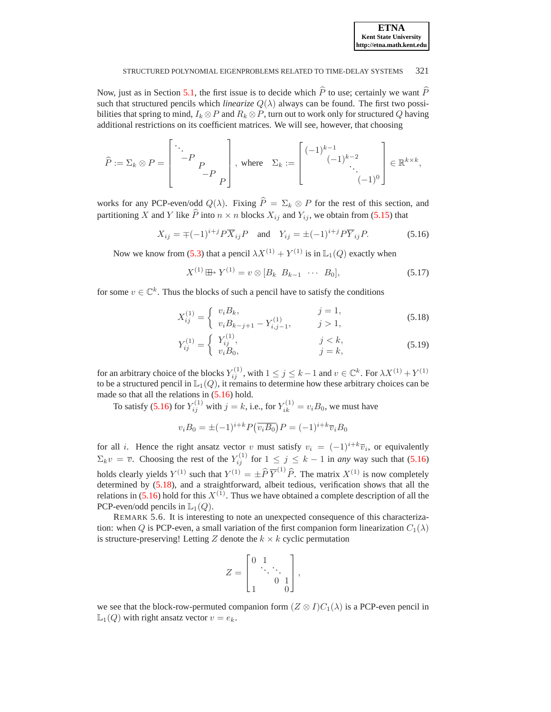| $\overline{\phantom{a}}$<br><b>ETNA</b> |
|-----------------------------------------|
| <b>Kent State University</b>            |
| http://etna.math.kent.edu               |

Now, just as in Section [5.1,](#page-9-3) the first issue is to decide which  $\hat{P}$  to use; certainly we want  $\hat{P}$ such that structured pencils which *linearize*  $Q(\lambda)$  always can be found. The first two possibilities that spring to mind,  $I_k \otimes P$  and  $R_k \otimes P$ , turn out to work only for structured Q having additional restrictions on its coefficient matrices. We will see, however, that choosing

$$
\widehat{P} := \Sigma_k \otimes P = \begin{bmatrix} \ddots & & \\ & -P & \\ & & -P & \\ & & & -P \end{bmatrix}, \text{ where } \Sigma_k := \begin{bmatrix} (-1)^{k-1} & & \\ & (-1)^{k-2} & \\ & & \ddots \\ & & & (-1)^0 \end{bmatrix} \in \mathbb{R}^{k \times k},
$$

works for any PCP-even/odd  $Q(\lambda)$ . Fixing  $\hat{P} = \Sigma_k \otimes P$  for the rest of this section, and partitioning X and Y like  $\hat{P}$  into  $n \times n$  blocks  $X_{ij}$  and  $Y_{ij}$ , we obtain from [\(5.15\)](#page-14-0) that

$$
X_{ij} = \mp (-1)^{i+j} P \overline{X}_{ij} P
$$
 and  $Y_{ij} = \pm (-1)^{i+j} P \overline{Y}_{ij} P.$  (5.16)

<span id="page-15-2"></span><span id="page-15-0"></span>Now we know from [\(5.3\)](#page-8-0) that a pencil  $\lambda X^{(1)} + Y^{(1)}$  is in  $\mathbb{L}_1(Q)$  exactly when

$$
X^{(1)} \boxplus Y^{(1)} = v \otimes [B_k \ B_{k-1} \ \cdots \ B_0], \tag{5.17}
$$

<span id="page-15-1"></span>for some  $v \in \mathbb{C}^k$ . Thus the blocks of such a pencil have to satisfy the conditions

$$
X_{ij}^{(1)} = \begin{cases} v_i B_k, & j = 1, \\ v_i B_{k-j+1} - Y_{i,j-1}^{(1)}, & j > 1, \end{cases}
$$
(5.18)

$$
Y_{ij}^{(1)} = \begin{cases} Y_{ij}^{(1)}, & j < k, \\ v_i B_0, & j = k, \end{cases}
$$
 (5.19)

for an arbitrary choice of the blocks  $Y_{ij}^{(1)}$ , with  $1 \le j \le k-1$  and  $v \in \mathbb{C}^k$ . For  $\lambda X^{(1)} + Y^{(1)}$ to be a structured pencil in  $\mathbb{L}_1(Q)$ , it remains to determine how these arbitrary choices can be made so that all the relations in  $(5.16)$  hold.

To satisfy [\(5.16\)](#page-15-0) for  $Y_{ij}^{(1)}$  with  $j = k$ , i.e., for  $Y_{ik}^{(1)} = v_i B_0$ , we must have

$$
v_i B_0 = \pm (-1)^{i+k} P(\overline{v_i B_0}) P = (-1)^{i+k} \overline{v}_i B_0
$$

for all i. Hence the right ansatz vector v must satisfy  $v_i = (-1)^{i+k} \overline{v}_i$ , or equivalently  $\Sigma_k v = \overline{v}$ . Choosing the rest of the  $Y_{ij}^{(1)}$  for  $1 \le j \le k-1$  in *any* way such that [\(5.16\)](#page-15-0) holds clearly yields  $Y^{(1)}$  such that  $Y^{(1)} = \pm \widehat{P} \overline{Y}^{(1)} \widehat{P}$ . The matrix  $X^{(1)}$  is now completely determined by [\(5.18\)](#page-15-1), and a straightforward, albeit tedious, verification shows that all the relations in  $(5.16)$  hold for this  $X^{(1)}$ . Thus we have obtained a complete description of all the PCP-even/odd pencils in  $\mathbb{L}_1(Q)$ .

REMARK 5.6. It is interesting to note an unexpected consequence of this characterization: when Q is PCP-even, a small variation of the first companion form linearization  $C_1(\lambda)$ is structure-preserving! Letting Z denote the  $k \times k$  cyclic permutation

$$
Z = \begin{bmatrix} 0 & 1 & & \\ & \ddots & \ddots & \\ & & 0 & 1 \\ 1 & & & 0 \end{bmatrix},
$$

we see that the block-row-permuted companion form  $(Z \otimes I)C_1(\lambda)$  is a PCP-even pencil in  $\mathbb{L}_1(Q)$  with right ansatz vector  $v = e_k$ .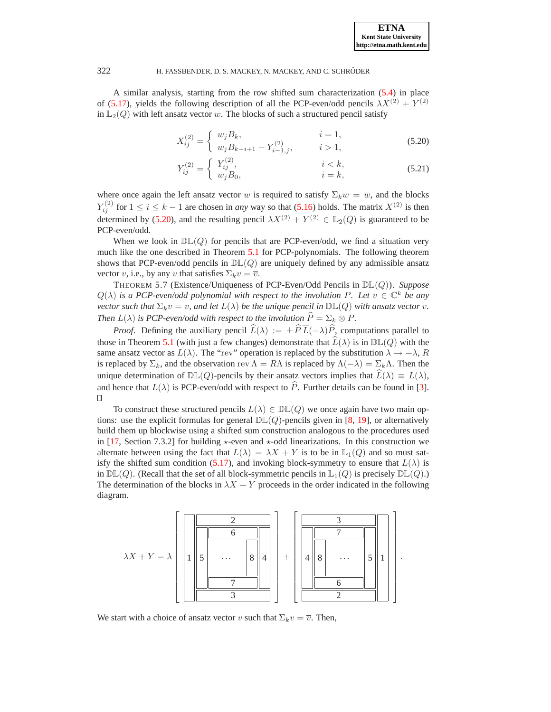<span id="page-16-0"></span>A similar analysis, starting from the row shifted sum characterization [\(5.4\)](#page-8-0) in place of [\(5.17\)](#page-15-2), yields the following description of all the PCP-even/odd pencils  $\lambda X^{(2)} + Y^{(2)}$ in  $\mathbb{L}_2(Q)$  with left ansatz vector w. The blocks of such a structured pencil satisfy

$$
X_{ij}^{(2)} = \begin{cases} w_j B_k, & i = 1, \\ w_j B_{k-i+1} - Y_{i-1,j}^{(2)}, & i > 1, \end{cases}
$$
(5.20)

$$
Y_{ij}^{(2)} = \begin{cases} Y_{ij}^{(2)}, & i < k, \\ w_j B_0, & i = k, \end{cases}
$$
 (5.21)

where once again the left ansatz vector w is required to satisfy  $\Sigma_k w = \overline{w}$ , and the blocks  $Y_{ij}^{(2)}$  for  $1 \le i \le k-1$  are chosen in *any* way so that [\(5.16\)](#page-15-0) holds. The matrix  $X^{(2)}$  is then determined by [\(5.20\)](#page-16-0), and the resulting pencil  $\lambda X^{(2)} + Y^{(2)} \in \mathbb{L}_2(Q)$  is guaranteed to be PCP-even/odd.

When we look in  $D\mathbb{L}(Q)$  for pencils that are PCP-even/odd, we find a situation very much like the one described in Theorem [5.1](#page-12-0) for PCP-polynomials. The following theorem shows that PCP-even/odd pencils in  $D\mathbb{L}(Q)$  are uniquely defined by any admissible ansatz vector v, i.e., by any v that satisfies  $\Sigma_k v = \overline{v}$ .

THEOREM 5.7 (Existence/Uniqueness of PCP-Even/Odd Pencils in DL(Q)). *Suppose*  $Q(\lambda)$  *is a PCP-even/odd polynomial with respect to the involution* P. Let  $v \in \mathbb{C}^k$  *be any vector such that*  $\Sigma_k v = \overline{v}$ *, and let*  $L(\lambda)$  *be the unique pencil in*  $\mathbb{DL}(Q)$  *with ansatz vector v*. *Then*  $L(\lambda)$  *is PCP-even/odd with respect to the involution*  $\hat{P} = \Sigma_k \otimes P$ *.* 

*Proof.* Defining the auxiliary pencil  $\hat{L}(\lambda) := \pm \hat{P} \overline{L}(-\lambda)\hat{P}$ , computations parallel to those in Theorem [5.1](#page-12-0) (with just a few changes) demonstrate that  $\widehat{L}(\lambda)$  is in  $\mathbb{DL}(Q)$  with the same ansatz vector as  $L(\lambda)$ . The "rev" operation is replaced by the substitution  $\lambda \to -\lambda$ , R is replaced by  $\Sigma_k$ , and the observation rev  $\Lambda = R\Lambda$  is replaced by  $\Lambda(-\lambda) = \Sigma_k\Lambda$ . Then the unique determination of  $\mathbb{DL}(Q)$ -pencils by their ansatz vectors implies that  $\widehat{L}(\lambda) \equiv L(\lambda)$ , and hence that  $L(\lambda)$  is PCP-even/odd with respect to  $\hat{P}$ . Further details can be found in [\[3\]](#page-23-7).

To construct these structured pencils  $L(\lambda) \in \mathbb{DL}(Q)$  we once again have two main options: use the explicit formulas for general  $\mathbb{DL}(Q)$ -pencils given in [\[8,](#page-23-5) [19\]](#page-24-5), or alternatively build them up blockwise using a shifted sum construction analogous to the procedures used in [\[17,](#page-24-14) Section 7.3.2] for building  $\star$ -even and  $\star$ -odd linearizations. In this construction we alternate between using the fact that  $L(\lambda) = \lambda X + Y$  is to be in  $\mathbb{L}_1(Q)$  and so must sat-isfy the shifted sum condition [\(5.17\)](#page-15-2), and invoking block-symmetry to ensure that  $L(\lambda)$  is in  $\mathbb{DL}(Q)$ . (Recall that the set of all block-symmetric pencils in  $\mathbb{L}_1(Q)$  is precisely  $\mathbb{DL}(Q)$ .) The determination of the blocks in  $\lambda X + Y$  proceeds in the order indicated in the following diagram.



We start with a choice of ansatz vector v such that  $\Sigma_k v = \overline{v}$ . Then,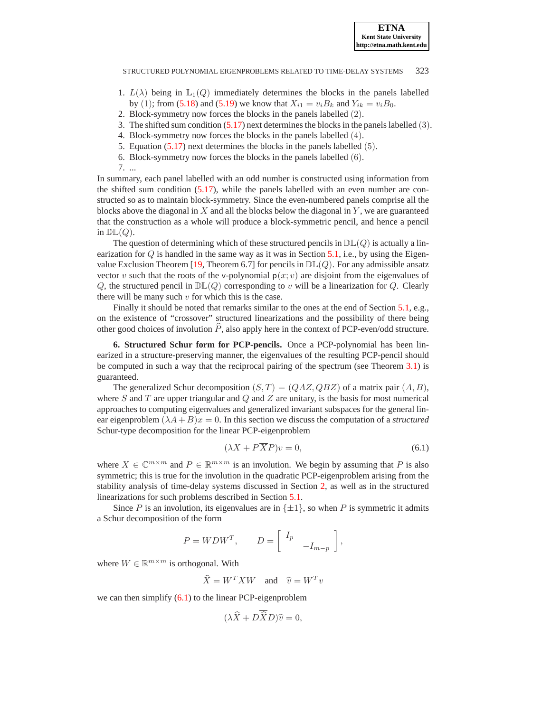- 1.  $L(\lambda)$  being in  $\mathbb{L}_1(Q)$  immediately determines the blocks in the panels labelled by (1); from [\(5.18\)](#page-15-1) and [\(5.19\)](#page-15-1) we know that  $X_{i1} = v_i B_k$  and  $Y_{ik} = v_i B_0$ .
- 2. Block-symmetry now forces the blocks in the panels labelled (2).
- 3. The shifted sum condition [\(5.17\)](#page-15-2) next determines the blocks in the panels labelled (3).
- 4. Block-symmetry now forces the blocks in the panels labelled (4).
- 5. Equation [\(5.17\)](#page-15-2) next determines the blocks in the panels labelled (5).
- 6. Block-symmetry now forces the blocks in the panels labelled (6).
- 7. ...

In summary, each panel labelled with an odd number is constructed using information from the shifted sum condition [\(5.17\)](#page-15-2), while the panels labelled with an even number are constructed so as to maintain block-symmetry. Since the even-numbered panels comprise all the blocks above the diagonal in  $X$  and all the blocks below the diagonal in  $Y$ , we are guaranteed that the construction as a whole will produce a block-symmetric pencil, and hence a pencil in  $\mathbb{DL}(Q)$ .

The question of determining which of these structured pencils in  $\mathbb{DL}(Q)$  is actually a linearization for  $Q$  is handled in the same way as it was in Section [5.1,](#page-9-3) i.e., by using the Eigen-value Exclusion Theorem [\[19,](#page-24-5) Theorem 6.7] for pencils in  $\mathbb{DL}(Q)$ . For any admissible ansatz vector v such that the roots of the v-polynomial  $p(x; v)$  are disjoint from the eigenvalues of Q, the structured pencil in  $\mathbb{DL}(Q)$  corresponding to v will be a linearization for Q. Clearly there will be many such  $v$  for which this is the case.

Finally it should be noted that remarks similar to the ones at the end of Section [5.1,](#page-9-3) e.g., on the existence of "crossover" structured linearizations and the possibility of there being other good choices of involution  $\overline{P}$ , also apply here in the context of PCP-even/odd structure.

<span id="page-17-0"></span>**6. Structured Schur form for PCP-pencils.** Once a PCP-polynomial has been linearized in a structure-preserving manner, the eigenvalues of the resulting PCP-pencil should be computed in such a way that the reciprocal pairing of the spectrum (see Theorem [3.1\)](#page-6-3) is guaranteed.

The generalized Schur decomposition  $(S, T) = (QAZ, QBZ)$  of a matrix pair  $(A, B)$ , where S and T are upper triangular and Q and Z are unitary, is the basis for most numerical approaches to computing eigenvalues and generalized invariant subspaces for the general linear eigenproblem  $(\lambda A + B)x = 0$ . In this section we discuss the computation of a *structured* Schur-type decomposition for the linear PCP-eigenproblem

<span id="page-17-1"></span>
$$
(\lambda X + P\overline{X}P)v = 0,\t(6.1)
$$

where  $X \in \mathbb{C}^{m \times m}$  and  $P \in \mathbb{R}^{m \times m}$  is an involution. We begin by assuming that P is also symmetric; this is true for the involution in the quadratic PCP-eigenproblem arising from the stability analysis of time-delay systems discussed in Section [2,](#page-2-0) as well as in the structured linearizations for such problems described in Section [5.1.](#page-9-3)

Since P is an involution, its eigenvalues are in  $\{\pm 1\}$ , so when P is symmetric it admits a Schur decomposition of the form

$$
P = WDW^T, \qquad D = \begin{bmatrix} I_p & & \\ & -I_{m-p} \end{bmatrix},
$$

where  $W \in \mathbb{R}^{m \times m}$  is orthogonal. With

 $\widehat{X} = W^T X W$  and  $\widehat{v} = W^T v$ 

we can then simplify  $(6.1)$  to the linear PCP-eigenproblem

$$
(\lambda \widehat{X} + D \widehat{X} D)\widehat{v} = 0,
$$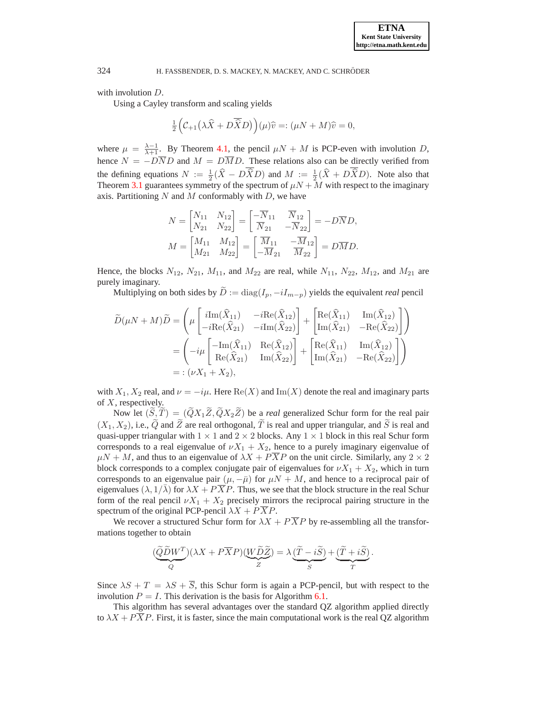with involution  $D$ .

Using a Cayley transform and scaling yields

$$
\tfrac{1}{2}\Big(\mathcal{C}_{+1}\big(\lambda \widehat{X}+D\overline{\widehat{X}}D\big)\Big)(\mu)\widehat{v}=:(\mu N+M)\widehat{v}=0,
$$

where  $\mu = \frac{\lambda - 1}{\lambda + 1}$ . By Theorem [4.1,](#page-7-1) the pencil  $\mu N + M$  is PCP-even with involution D, hence  $N = -D\overline{N}D$  and  $M = D\overline{M}D$ . These relations also can be directly verified from the defining equations  $N := \frac{1}{2}(\hat{X} - D\hat{X}D)$  and  $M := \frac{1}{2}(\hat{X} + D\hat{X}D)$ . Note also that Theorem [3.1](#page-6-3) guarantees symmetry of the spectrum of  $\mu N + M$  with respect to the imaginary axis. Partitioning  $N$  and  $M$  conformably with  $D$ , we have

$$
N = \begin{bmatrix} N_{11} & N_{12} \\ N_{21} & N_{22} \end{bmatrix} = \begin{bmatrix} -\overline{N}_{11} & \overline{N}_{12} \\ \overline{N}_{21} & -\overline{N}_{22} \end{bmatrix} = -D\overline{N}D,
$$
  

$$
M = \begin{bmatrix} M_{11} & M_{12} \\ M_{21} & M_{22} \end{bmatrix} = \begin{bmatrix} \overline{M}_{11} & -\overline{M}_{12} \\ -\overline{M}_{21} & \overline{M}_{22} \end{bmatrix} = D\overline{M}D.
$$

Hence, the blocks  $N_{12}$ ,  $N_{21}$ ,  $M_{11}$ , and  $M_{22}$  are real, while  $N_{11}$ ,  $N_{22}$ ,  $M_{12}$ , and  $M_{21}$  are purely imaginary.

Multiplying on both sides by  $\tilde{D} := \text{diag}(I_p, -iI_{m-p})$  yields the equivalent *real* pencil

$$
\widetilde{D}(\mu N + M)\widetilde{D} = \left(\mu \begin{bmatrix} i\text{Im}(\widehat{X}_{11}) & -i\text{Re}(\widehat{X}_{12}) \\ -i\text{Re}(\widehat{X}_{21}) & -i\text{Im}(\widehat{X}_{22}) \end{bmatrix} + \begin{bmatrix} \text{Re}(\widehat{X}_{11}) & \text{Im}(\widehat{X}_{12}) \\ \text{Im}(\widehat{X}_{21}) & -\text{Re}(\widehat{X}_{22}) \end{bmatrix} \right)
$$
\n
$$
= \left(-i\mu \begin{bmatrix} -\text{Im}(\widehat{X}_{11}) & \text{Re}(\widehat{X}_{12}) \\ \text{Re}(\widehat{X}_{21}) & \text{Im}(\widehat{X}_{22}) \end{bmatrix} + \begin{bmatrix} \text{Re}(\widehat{X}_{11}) & \text{Im}(\widehat{X}_{12}) \\ \text{Im}(\widehat{X}_{21}) & -\text{Re}(\widehat{X}_{22}) \end{bmatrix} \right)
$$
\n
$$
= : (\nu X_1 + X_2),
$$

with  $X_1, X_2$  real, and  $\nu = -i\mu$ . Here  $\text{Re}(X)$  and  $\text{Im}(X)$  denote the real and imaginary parts of  $X$ , respectively.

Now let  $(\widetilde{S}, \widetilde{T}) = (\widetilde{Q}X_1\widetilde{Z}, \widetilde{Q}X_2\widetilde{Z})$  be a *real* generalized Schur form for the real pair  $(X_1, X_2)$ , i.e.,  $\widetilde{Q}$  and  $\widetilde{Z}$  are real orthogonal,  $\widetilde{T}$  is real and upper triangular, and  $\widetilde{S}$  is real and quasi-upper triangular with  $1 \times 1$  and  $2 \times 2$  blocks. Any  $1 \times 1$  block in this real Schur form corresponds to a real eigenvalue of  $\nu X_1 + X_2$ , hence to a purely imaginary eigenvalue of  $\mu N + M$ , and thus to an eigenvalue of  $\lambda X + PXP$  on the unit circle. Similarly, any  $2 \times 2$ block corresponds to a complex conjugate pair of eigenvalues for  $\nu X_1 + X_2$ , which in turn corresponds to an eigenvalue pair  $(\mu, -\bar{\mu})$  for  $\mu N + M$ , and hence to a reciprocal pair of eigenvalues  $(\lambda, 1/\overline{\lambda})$  for  $\lambda X + P\overline{X}P$ . Thus, we see that the block structure in the real Schur form of the real pencil  $\nu X_1 + X_2$  precisely mirrors the reciprocal pairing structure in the spectrum of the original PCP-pencil  $\lambda X + P\overline{X}P$ .

We recover a structured Schur form for  $\lambda X + P\overline{X}P$  by re-assembling all the transformations together to obtain

$$
(\underbrace{\widetilde{Q}\widetilde{D}W^T}_{Q})(\lambda X+P\overline{X}P)(\underbrace{W\widetilde{D}\widetilde{Z}}_{Z})=\lambda\underbrace{(\widetilde{T}-i\widetilde{S})}_{S}+\underbrace{(\widetilde{T}+i\widetilde{S})}_{T}.
$$

Since  $\lambda S + T = \lambda S + \overline{S}$ , this Schur form is again a PCP-pencil, but with respect to the involution  $P = I$ . This derivation is the basis for Algorithm [6.1.](#page-19-0)

This algorithm has several advantages over the standard QZ algorithm applied directly to  $\lambda X + P\overline{X}P$ . First, it is faster, since the main computational work is the real QZ algorithm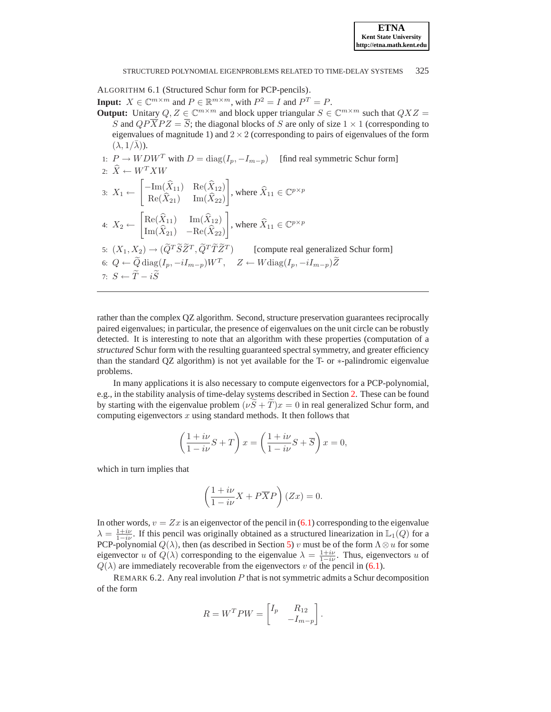<span id="page-19-0"></span>ALGORITHM 6.1 (Structured Schur form for PCP-pencils). **Input:**  $X \in \mathbb{C}^{m \times m}$  and  $P \in \mathbb{R}^{m \times m}$ , with  $P^2 = I$  and  $P^T = P$ . **Output:** Unitary  $Q, Z \in \mathbb{C}^{m \times m}$  and block upper triangular  $S \in \mathbb{C}^{m \times m}$  such that  $QXZ =$ S and  $QP\overline{X}PZ = \overline{S}$ ; the diagonal blocks of S are only of size  $1 \times 1$  (corresponding to eigenvalues of magnitude 1) and  $2 \times 2$  (corresponding to pairs of eigenvalues of the form  $(\lambda, 1/\lambda)$ ). 1:  $P \to WDW^T$  with  $D = \text{diag}(I_p, -I_{m-p})$  [find real symmetric Schur form] 2:  $\hat{X} \leftarrow W^T X W$ 3:  $X_1 \leftarrow$  $\left[-\text{Im}(\hat{X}_{11}) \quad \text{Re}(\hat{X}_{12})\right]$  $\text{Re}(X_{21})$  Im $(X_{22})$ 1 , where  $\widehat{X}_{11} \in \mathbb{C}^{p \times p}$ 4:  $X_2 \leftarrow$  $\begin{bmatrix} \text{Re}(\hat{X}_{11}) & \text{Im}(\hat{X}_{12}) \end{bmatrix}$  $\text{Im}(X_{21}) - \text{Re}(X_{22})$ 1 , where  $\widehat{X}_{11} \in \mathbb{C}^{p \times p}$ 5:  $(X_1, X_2) \rightarrow (\tilde{Q}^T \tilde{S} \tilde{Z}^T, \tilde{Q}^T \tilde{T} \tilde{Z}^T)$  [compute real generalized Schur form] 6:  $Q \leftarrow \widetilde{Q} \text{ diag}(I_p, -iI_{m-p})W^T$ ,  $Z \leftarrow W \text{diag}(I_p, -iI_{m-p})\widetilde{Z}$ 

7:  $S \leftarrow \widetilde{T} - i\widetilde{S}$ 

rather than the complex QZ algorithm. Second, structure preservation guarantees reciprocally paired eigenvalues; in particular, the presence of eigenvalues on the unit circle can be robustly detected. It is interesting to note that an algorithm with these properties (computation of a *structured* Schur form with the resulting guaranteed spectral symmetry, and greater efficiency than the standard QZ algorithm) is not yet available for the T- or ∗-palindromic eigenvalue problems.

In many applications it is also necessary to compute eigenvectors for a PCP-polynomial, e.g., in the stability analysis of time-delay systems described in Section [2.](#page-2-0) These can be found by starting with the eigenvalue problem  $(\nu \hat{S} + \hat{T})x = 0$  in real generalized Schur form, and computing eigenvectors  $x$  using standard methods. It then follows that

$$
\left(\frac{1+i\nu}{1-i\nu}S+T\right)x = \left(\frac{1+i\nu}{1-i\nu}S+\overline{S}\right)x = 0,
$$

which in turn implies that

$$
\left(\frac{1+i\nu}{1-i\nu}X + P\overline{X}P\right)(Zx) = 0.
$$

In other words,  $v = Zx$  is an eigenvector of the pencil in [\(6.1\)](#page-17-1) corresponding to the eigenvalue  $\lambda = \frac{1+i\nu}{1-i\nu}$ . If this pencil was originally obtained as a structured linearization in  $\mathbb{L}_1(Q)$  for a PCP-polynomial  $Q(\lambda)$ , then (as described in Section [5\)](#page-7-0) v must be of the form  $\Lambda \otimes u$  for some eigenvector u of  $Q(\lambda)$  corresponding to the eigenvalue  $\lambda = \frac{1+i\nu}{1-i\nu}$ . Thus, eigenvectors u of  $Q(\lambda)$  are immediately recoverable from the eigenvectors v of the pencil in [\(6.1\)](#page-17-1).

REMARK 6.2. Any real involution  $P$  that is not symmetric admits a Schur decomposition of the form

$$
R = W^T P W = \begin{bmatrix} I_p & R_{12} \\ & -I_{m-p} \end{bmatrix}.
$$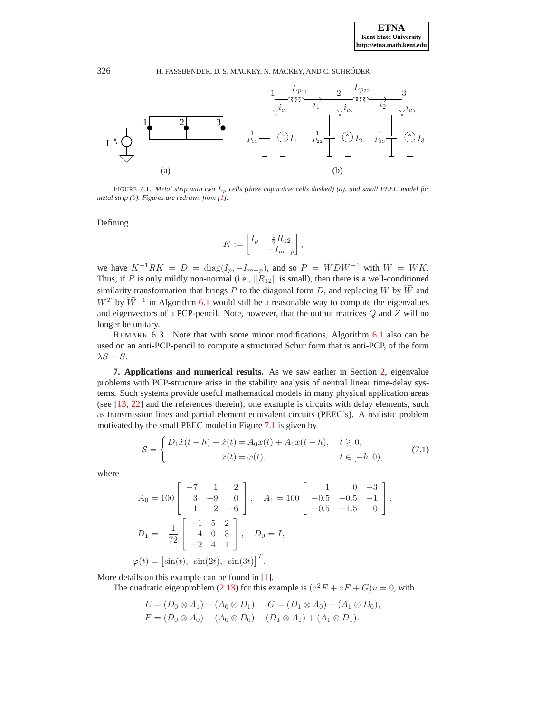

<span id="page-20-1"></span>FIGURE 7.1. *Metal strip with two* L<sup>p</sup> *cells (three capacitive cells dashed) (a), and small PEEC model for metal strip (b). Figures are redrawn from [\[1\]](#page-23-8).*

Defining

$$
K := \begin{bmatrix} I_p & \frac{1}{2}R_{12} \\ -I_{m-p} \end{bmatrix},
$$

we have  $K^{-1}RK = D = \text{diag}(I_p, -I_{m-p})$ , and so  $P = \widetilde{W}D\widetilde{W}^{-1}$  with  $\widetilde{W} = WK$ . Thus, if P is only mildly non-normal (i.e.,  $\|\hat{R}_{12}\|$  is small), then there is a well-conditioned similarity transformation that brings P to the diagonal form D, and replacing W by  $\widetilde{W}$  and  $W^T$  by  $\widetilde{W}^{-1}$  in Algorithm [6.1](#page-19-0) would still be a reasonable way to compute the eigenvalues and eigenvectors of a PCP-pencil. Note, however, that the output matrices  $Q$  and  $\overline{Z}$  will no longer be unitary.

REMARK 6.3. Note that with some minor modifications, Algorithm [6.1](#page-19-0) also can be used on an anti-PCP-pencil to compute a structured Schur form that is anti-PCP, of the form  $\lambda S - \overline{S}$ .

<span id="page-20-0"></span>**7. Applications and numerical results.** As we saw earlier in Section [2,](#page-2-0) eigenvalue problems with PCP-structure arise in the stability analysis of neutral linear time-delay systems. Such systems provide useful mathematical models in many physical application areas (see [\[13,](#page-24-9) [22\]](#page-24-11) and the references therein); one example is circuits with delay elements, such as transmission lines and partial element equivalent circuits (PEEC's). A realistic problem motivated by the small PEEC model in Figure [7.1](#page-20-1) is given by

$$
S = \begin{cases} D_1 \dot{x}(t-h) + \dot{x}(t) = A_0 x(t) + A_1 x(t-h), & t \ge 0, \\ x(t) = \varphi(t), & t \in [-h, 0), \end{cases}
$$
(7.1)

<span id="page-20-2"></span>where

$$
A_0 = 100 \begin{bmatrix} -7 & 1 & 2 \\ 3 & -9 & 0 \\ 1 & 2 & -6 \end{bmatrix}, A_1 = 100 \begin{bmatrix} 1 & 0 & -3 \\ -0.5 & -0.5 & -1 \\ -0.5 & -1.5 & 0 \end{bmatrix},
$$
  
\n
$$
D_1 = -\frac{1}{72} \begin{bmatrix} -1 & 5 & 2 \\ 4 & 0 & 3 \\ -2 & 4 & 1 \end{bmatrix}, D_0 = I,
$$
  
\n
$$
\varphi(t) = \begin{bmatrix} \sin(t), & \sin(2t), & \sin(3t) \end{bmatrix}^T.
$$

More details on this example can be found in [\[1\]](#page-23-8).

The quadratic eigenproblem [\(2.13\)](#page-4-4) for this example is  $(z^2E + zF + G)u = 0$ , with

$$
E = (D_0 \otimes A_1) + (A_0 \otimes D_1), \quad G = (D_1 \otimes A_0) + (A_1 \otimes D_0),
$$
  

$$
F = (D_0 \otimes A_0) + (A_0 \otimes D_0) + (D_1 \otimes A_1) + (A_1 \otimes D_1).
$$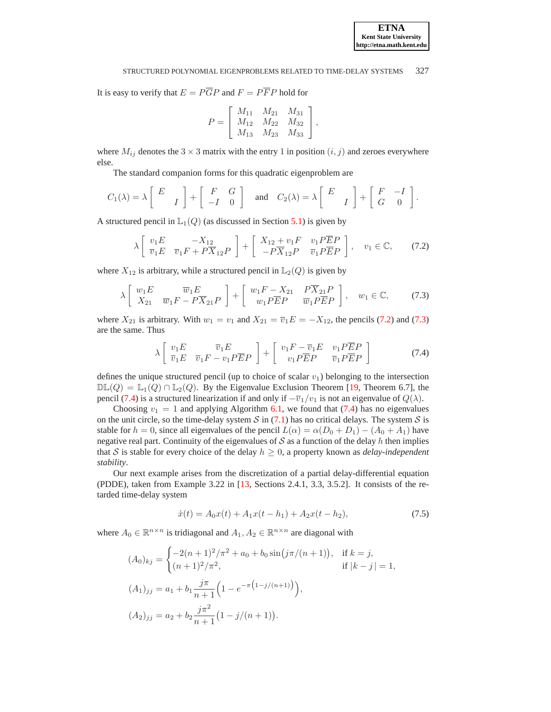It is easy to verify that  $E = P\overline{G}P$  and  $F = P\overline{F}P$  hold for

$$
P = \left[ \begin{array}{ccc} M_{11} & M_{21} & M_{31} \\ M_{12} & M_{22} & M_{32} \\ M_{13} & M_{23} & M_{33} \end{array} \right],
$$

where  $M_{ij}$  denotes the 3  $\times$  3 matrix with the entry 1 in position  $(i, j)$  and zeroes everywhere else.

The standard companion forms for this quadratic eigenproblem are

$$
C_1(\lambda) = \lambda \begin{bmatrix} E \\ I \end{bmatrix} + \begin{bmatrix} F & G \\ -I & 0 \end{bmatrix} \text{ and } C_2(\lambda) = \lambda \begin{bmatrix} E \\ I \end{bmatrix} + \begin{bmatrix} F & -I \\ G & 0 \end{bmatrix}.
$$

<span id="page-21-0"></span>A structured pencil in  $\mathbb{L}_1(Q)$  (as discussed in Section [5.1\)](#page-9-3) is given by

$$
\lambda \begin{bmatrix} v_1 E & -X_{12} \\ \overline{v}_1 E & \overline{v}_1 F + P \overline{X}_{12} P \end{bmatrix} + \begin{bmatrix} X_{12} + v_1 F & v_1 P \overline{E} P \\ -P \overline{X}_{12} P & \overline{v}_1 P \overline{E} P \end{bmatrix}, \quad v_1 \in \mathbb{C}, \tag{7.2}
$$

<span id="page-21-1"></span>where  $X_{12}$  is arbitrary, while a structured pencil in  $\mathbb{L}_2(Q)$  is given by

$$
\lambda \begin{bmatrix} w_1 E & \overline{w}_1 E \\ X_{21} & \overline{w}_1 F - P \overline{X}_{21} P \end{bmatrix} + \begin{bmatrix} w_1 F - X_{21} & P \overline{X}_{21} P \\ w_1 P \overline{E} P & \overline{w}_1 P \overline{E} P \end{bmatrix}, \quad w_1 \in \mathbb{C}, \tag{7.3}
$$

where  $X_{21}$  is arbitrary. With  $w_1 = v_1$  and  $X_{21} = \overline{v}_1 E = -X_{12}$ , the pencils [\(7.2\)](#page-21-0) and [\(7.3\)](#page-21-1) are the same. Thus

$$
\lambda \left[ \begin{array}{cc} v_1 E & \overline{v}_1 E \\ \overline{v}_1 E & \overline{v}_1 F - v_1 P \overline{E} P \end{array} \right] + \left[ \begin{array}{cc} v_1 F - \overline{v}_1 E & v_1 P \overline{E} P \\ v_1 P \overline{E} P & \overline{v}_1 P \overline{E} P \end{array} \right] \tag{7.4}
$$

<span id="page-21-2"></span>defines the unique structured pencil (up to choice of scalar  $v_1$ ) belonging to the intersection  $\mathbb{DL}(Q) = \mathbb{L}_1(Q) \cap \mathbb{L}_2(Q)$ . By the Eigenvalue Exclusion Theorem [\[19,](#page-24-5) Theorem 6.7], the pencil [\(7.4\)](#page-21-2) is a structured linearization if and only if  $-\overline{v}_1/v_1$  is not an eigenvalue of  $Q(\lambda)$ .

Choosing  $v_1 = 1$  and applying Algorithm [6.1,](#page-19-0) we found that [\(7.4\)](#page-21-2) has no eigenvalues on the unit circle, so the time-delay system S in  $(7.1)$  has no critical delays. The system S is stable for  $h = 0$ , since all eigenvalues of the pencil  $L(\alpha) = \alpha(D_0 + D_1) - (A_0 + A_1)$  have negative real part. Continuity of the eigenvalues of  $S$  as a function of the delay h then implies that S is stable for every choice of the delay  $h \geq 0$ , a property known as *delay-independent stability*.

Our next example arises from the discretization of a partial delay-differential equation (PDDE), taken from Example 3.22 in [\[13,](#page-24-9) Sections 2.4.1, 3.3, 3.5.2]. It consists of the retarded time-delay system

$$
\dot{x}(t) = A_0 x(t) + A_1 x(t - h_1) + A_2 x(t - h_2),\tag{7.5}
$$

<span id="page-21-3"></span>where  $A_0 \in \mathbb{R}^{n \times n}$  is tridiagonal and  $A_1, A_2 \in \mathbb{R}^{n \times n}$  are diagonal with

$$
(A_0)_{kj} = \begin{cases} -2(n+1)^2/\pi^2 + a_0 + b_0 \sin(j\pi/(n+1)), & \text{if } k = j, \\ (n+1)^2/\pi^2, & \text{if } |k - j| = 1, \end{cases}
$$
  

$$
(A_1)_{jj} = a_1 + b_1 \frac{j\pi}{n+1} \Big( 1 - e^{-\pi(1-j/(n+1))} \Big),
$$
  

$$
(A_2)_{jj} = a_2 + b_2 \frac{j\pi^2}{n+1} \big( 1 - j/(n+1) \big).
$$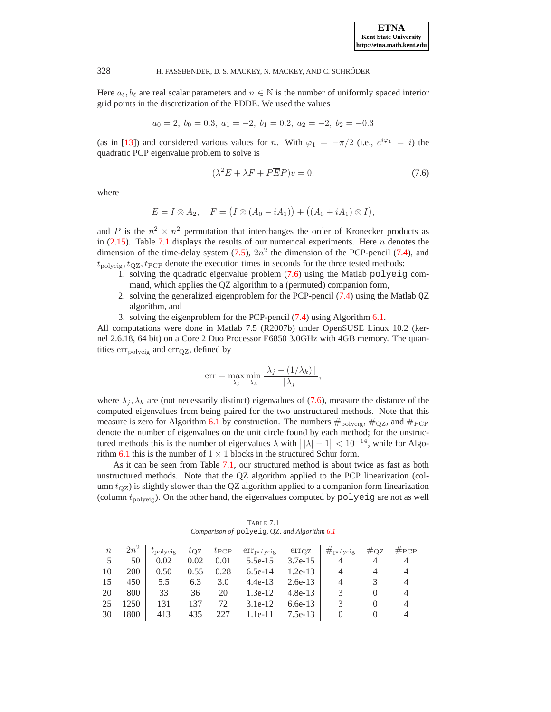Here  $a_{\ell}, b_{\ell}$  are real scalar parameters and  $n \in \mathbb{N}$  is the number of uniformly spaced interior grid points in the discretization of the PDDE. We used the values

$$
a_0 = 2, b_0 = 0.3, a_1 = -2, b_1 = 0.2, a_2 = -2, b_2 = -0.3
$$

(as in [\[13\]](#page-24-9)) and considered various values for n. With  $\varphi_1 = -\pi/2$  (i.e.,  $e^{i\varphi_1} = i$ ) the quadratic PCP eigenvalue problem to solve is

$$
(\lambda^2 E + \lambda F + P\overline{E}P)v = 0,\t(7.6)
$$

where

<span id="page-22-1"></span>
$$
E = I \otimes A_2, \quad F = (I \otimes (A_0 - iA_1)) + ((A_0 + iA_1) \otimes I),
$$

and P is the  $n^2 \times n^2$  permutation that interchanges the order of Kronecker products as in [\(2.15\)](#page-5-2). Table [7.1](#page-22-0) displays the results of our numerical experiments. Here  $n$  denotes the dimension of the time-delay system  $(7.5)$ ,  $2n^2$  the dimension of the PCP-pencil  $(7.4)$ , and  $t_{\text{polyeig}}, t_{\text{QZ}}, t_{\text{PCP}}$  denote the execution times in seconds for the three tested methods:

- 1. solving the quadratic eigenvalue problem [\(7.6\)](#page-22-1) using the Matlab polyeig command, which applies the QZ algorithm to a (permuted) companion form,
- 2. solving the generalized eigenproblem for the PCP-pencil [\(7.4\)](#page-21-2) using the Matlab QZ algorithm, and
- 3. solving the eigenproblem for the PCP-pencil [\(7.4\)](#page-21-2) using Algorithm [6.1.](#page-19-0)

All computations were done in Matlab 7.5 (R2007b) under OpenSUSE Linux 10.2 (kernel 2.6.18, 64 bit) on a Core 2 Duo Processor E6850 3.0GHz with 4GB memory. The quantities  $err_{\text{polyeig}}$  and  $err_{\text{QZ}}$ , defined by

$$
\text{err} = \max_{\lambda_j} \min_{\lambda_k} \frac{|\lambda_j - (1/\overline{\lambda}_k)|}{|\lambda_j|},
$$

where  $\lambda_j, \lambda_k$  are (not necessarily distinct) eigenvalues of [\(7.6\)](#page-22-1), measure the distance of the computed eigenvalues from being paired for the two unstructured methods. Note that this measure is zero for Algorithm [6.1](#page-19-0) by construction. The numbers  $\#_{\text{polyeig}}$ ,  $\#_{\text{QZ}}$ , and  $\#_{\text{PCP}}$ denote the number of eigenvalues on the unit circle found by each method; for the unstructured methods this is the number of eigenvalues  $\lambda$  with  $\left| \lambda \right| - 1 \right| < 10^{-14}$ , while for Algo-rithm [6.1](#page-19-0) this is the number of  $1 \times 1$  blocks in the structured Schur form.

As it can be seen from Table [7.1,](#page-22-0) our structured method is about twice as fast as both unstructured methods. Note that the QZ algorithm applied to the PCP linearization (column  $t_{\rm QZ}$ ) is slightly slower than the QZ algorithm applied to a companion form linearization (column  $t_{\text{polyeig}}$ ). On the other hand, the eigenvalues computed by  $\text{polyeig}$  are not as well

TABLE 7.1 *Comparison of* polyeig*,* QZ*, and Algorithm [6.1](#page-19-0)*

<span id="page-22-0"></span>

| $\boldsymbol{n}$ | $2n^2$ | $t_{\text{polyeig}}$ | $t_{\rm OZ}$ | $t_{\rm PCP}$ | $err_{\text{polyeig}}$ | $err_{OZ}$ | $\#_{\text{polyeig}}$ | $\#\text{oz}$ | #PCP |
|------------------|--------|----------------------|--------------|---------------|------------------------|------------|-----------------------|---------------|------|
|                  | 50     | 0.02                 | 0.02         | 0.01          | $5.5e-15$              | $3.7e-15$  |                       |               |      |
| 10               | 200    | 0.50                 | 0.55         | 0.28          | $6.5e-14$              | $1.2e-13$  | 4                     |               |      |
| 15               | 450    | 5.5                  | 6.3          | 3.0           | $4.4e-13$              | $2.6e-13$  | 4                     |               |      |
| 20               | 800    | 33                   | 36           | 20            | $1.3e-12$              | $4.8e-13$  |                       |               |      |
| 25               | 1250   | 131                  | 137          | 72            | $3.1e-12$              | $6.6e-13$  |                       |               |      |
| 30               | 1800   | 413                  | 435          |               | $1.1e-11$              | 7.5e-13    |                       |               |      |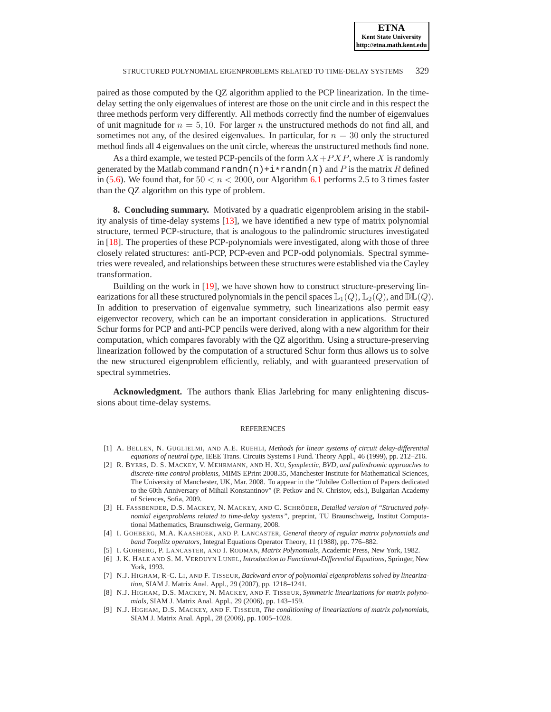paired as those computed by the QZ algorithm applied to the PCP linearization. In the timedelay setting the only eigenvalues of interest are those on the unit circle and in this respect the three methods perform very differently. All methods correctly find the number of eigenvalues of unit magnitude for  $n = 5, 10$ . For larger n the unstructured methods do not find all, and sometimes not any, of the desired eigenvalues. In particular, for  $n = 30$  only the structured method finds all 4 eigenvalues on the unit circle, whereas the unstructured methods find none.

As a third example, we tested PCP-pencils of the form  $\lambda X + P\overline{X}P$ , where X is randomly generated by the Matlab command randn(n)+i\*randn(n) and P is the matrix R defined in [\(5.6\)](#page-9-1). We found that, for  $50 < n < 2000$ , our Algorithm [6.1](#page-19-0) performs 2.5 to 3 times faster than the QZ algorithm on this type of problem.

**8. Concluding summary.** Motivated by a quadratic eigenproblem arising in the stability analysis of time-delay systems [\[13\]](#page-24-9), we have identified a new type of matrix polynomial structure, termed PCP-structure, that is analogous to the palindromic structures investigated in [\[18\]](#page-24-0). The properties of these PCP-polynomials were investigated, along with those of three closely related structures: anti-PCP, PCP-even and PCP-odd polynomials. Spectral symmetries were revealed, and relationships between these structures were established via the Cayley transformation.

Building on the work in [\[19\]](#page-24-5), we have shown how to construct structure-preserving linearizations for all these structured polynomials in the pencil spaces  $\mathbb{L}_1(Q)$ ,  $\mathbb{L}_2(Q)$ , and  $\mathbb{DL}(Q)$ . In addition to preservation of eigenvalue symmetry, such linearizations also permit easy eigenvector recovery, which can be an important consideration in applications. Structured Schur forms for PCP and anti-PCP pencils were derived, along with a new algorithm for their computation, which compares favorably with the QZ algorithm. Using a structure-preserving linearization followed by the computation of a structured Schur form thus allows us to solve the new structured eigenproblem efficiently, reliably, and with guaranteed preservation of spectral symmetries.

**Acknowledgment.** The authors thank Elias Jarlebring for many enlightening discussions about time-delay systems.

#### **REFERENCES**

- <span id="page-23-8"></span><span id="page-23-0"></span>[1] A. BELLEN, N. GUGLIELMI, AND A.E. RUEHLI, *Methods for linear systems of circuit delay-differential equations of neutral type*, IEEE Trans. Circuits Systems I Fund. Theory Appl., 46 (1999), pp. 212–216.
- [2] R. BYERS, D. S. MACKEY, V. MEHRMANN, AND H. XU, *Symplectic, BVD, and palindromic approaches to discrete-time control problems*, MIMS EPrint 2008.35, Manchester Institute for Mathematical Sciences, The University of Manchester, UK, Mar. 2008. To appear in the "Jubilee Collection of Papers dedicated to the 60th Anniversary of Mihail Konstantinov" (P. Petkov and N. Christov, eds.), Bulgarian Academy of Sciences, Sofia, 2009.
- <span id="page-23-7"></span>[3] H. FASSBENDER, D.S. MACKEY, N. MACKEY, AND C. SCHRÖDER, *Detailed version of "Structured polynomial eigenproblems related to time-delay systems"*, preprint, TU Braunschweig, Institut Computational Mathematics, Braunschweig, Germany, 2008.
- <span id="page-23-2"></span>[4] I. GOHBERG, M.A. KAASHOEK, AND P. LANCASTER, *General theory of regular matrix polynomials and band Toeplitz operators*, Integral Equations Operator Theory, 11 (1988), pp. 776–882.
- <span id="page-23-6"></span><span id="page-23-1"></span>[5] I. GOHBERG, P. LANCASTER, AND I. RODMAN, *Matrix Polynomials*, Academic Press, New York, 1982.
- [6] J. K. HALE AND S. M. VERDUYN LUNEL, *Introduction to Functional-Differential Equations*, Springer, New York, 1993.
- <span id="page-23-3"></span>[7] N.J. HIGHAM, R-C. LI, AND F. TISSEUR, *Backward error of polynomial eigenproblems solved by linearization*, SIAM J. Matrix Anal. Appl., 29 (2007), pp. 1218–1241.
- <span id="page-23-5"></span><span id="page-23-4"></span>[8] N.J. HIGHAM, D.S. MACKEY, N. MACKEY, AND F. TISSEUR, *Symmetric linearizations for matrix polynomials*, SIAM J. Matrix Anal. Appl., 29 (2006), pp. 143–159.
- [9] N.J. HIGHAM, D.S. MACKEY, AND F. TISSEUR, *The conditioning of linearizations of matrix polynomials*, SIAM J. Matrix Anal. Appl., 28 (2006), pp. 1005–1028.